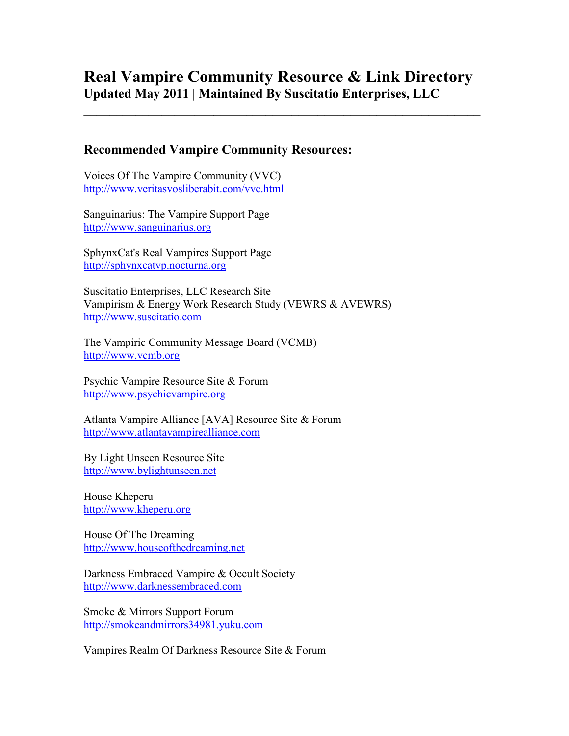# **Real Vampire Community Resource & Link Directory Updated May 2011 | Maintained By Suscitatio Enterprises, LLC**

**\_\_\_\_\_\_\_\_\_\_\_\_\_\_\_\_\_\_\_\_\_\_\_\_\_\_\_\_\_\_\_\_\_\_\_\_\_\_\_\_\_\_\_\_\_\_\_\_\_\_\_\_\_\_\_\_\_\_\_\_\_** 

# **Recommended Vampire Community Resources:**

Voices Of The Vampire Community (VVC) <http://www.veritasvosliberabit.com/vvc.html>

Sanguinarius: The Vampire Support Page [http://www.sanguinarius.org](http://www.sanguinarius.org/)

SphynxCat's Real Vampires Support Page [http://sphynxcatvp.nocturna.org](http://sphynxcatvp.nocturna.org/)

Suscitatio Enterprises, LLC Research Site Vampirism & Energy Work Research Study (VEWRS & AVEWRS) [http://www.suscitatio.com](http://www.suscitatio.com/)

The Vampiric Community Message Board (VCMB) [http://www.vcmb.org](http://www.vcmb.org/)

Psychic Vampire Resource Site & Forum [http://www.psychicvampire.org](http://www.psychicvampire.org/)

Atlanta Vampire Alliance [AVA] Resource Site & Forum [http://www.atlantavampirealliance.com](http://www.atlantavampirealliance.com/)

By Light Unseen Resource Site [http://www.bylightunseen.net](http://www.bylightunseen.net/)

House Kheperu [http://www.kheperu.org](http://www.kheperu.org/)

House Of The Dreaming [http://www.houseofthedreaming.net](http://www.houseofthedreaming.net/)

Darkness Embraced Vampire & Occult Society [http://www.darknessembraced.com](http://www.darknessembraced.com/)

Smoke & Mirrors Support Forum [http://smokeandmirrors34981.yuku.com](http://smokeandmirrors34981.yuku.com/)

Vampires Realm Of Darkness Resource Site & Forum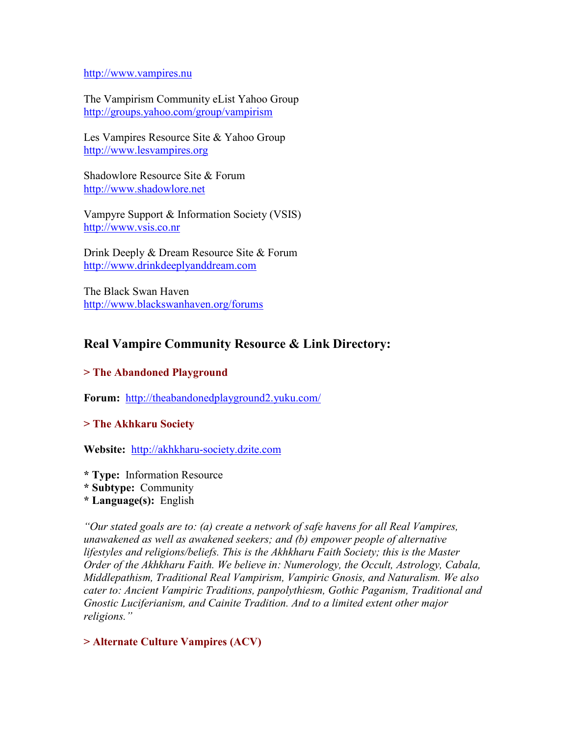#### [http://www.vampires.nu](http://www.vampires.nu/)

The Vampirism Community eList Yahoo Group <http://groups.yahoo.com/group/vampirism>

Les Vampires Resource Site & Yahoo Group [http://www.lesvampires.org](http://www.lesvampires.org/)

Shadowlore Resource Site & Forum [http://www.shadowlore.net](http://www.shadowlore.net/)

Vampyre Support & Information Society (VSIS) [http://www.vsis.co.nr](http://www.vsis.co.nr/)

Drink Deeply & Dream Resource Site & Forum [http://www.drinkdeeplyanddream.com](http://www.drinkdeeplyanddream.com/)

The Black Swan Haven <http://www.blackswanhaven.org/forums>

# **Real Vampire Community Resource & Link Directory:**

### **> The Abandoned Playground**

**Forum:** <http://theabandonedplayground2.yuku.com/>

### **> The Akhkaru Society**

**Website:** [http://akhkharu-society.dzite.com](http://akhkharu-society.dzite.com/)

- **\* Type:** Information Resource
- **\* Subtype:** Community
- **\* Language(s):** English

*"Our stated goals are to: (a) create a network of safe havens for all Real Vampires, unawakened as well as awakened seekers; and (b) empower people of alternative lifestyles and religions/beliefs. This is the Akhkharu Faith Society; this is the Master Order of the Akhkharu Faith. We believe in: Numerology, the Occult, Astrology, Cabala, Middlepathism, Traditional Real Vampirism, Vampiric Gnosis, and Naturalism. We also cater to: Ancient Vampiric Traditions, panpolythiesm, Gothic Paganism, Traditional and Gnostic Luciferianism, and Cainite Tradition. And to a limited extent other major religions."* 

### **> Alternate Culture Vampires (ACV)**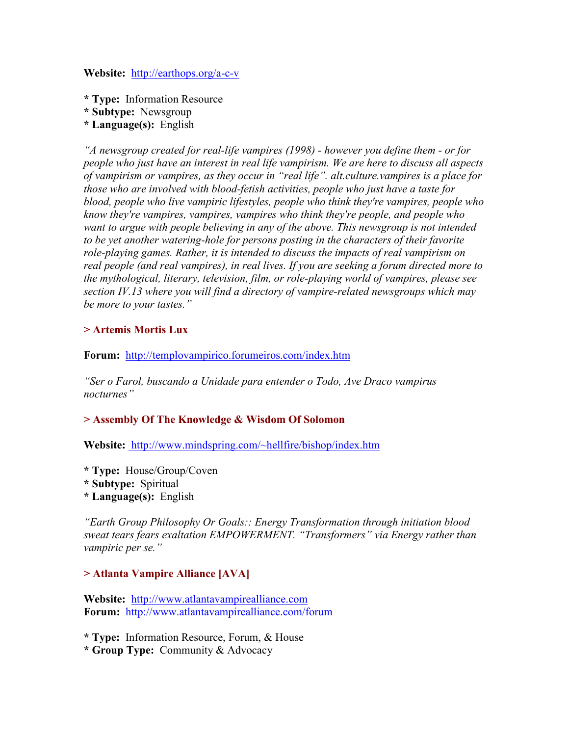**Website:** <http://earthops.org/a-c-v>

- **\* Type:** Information Resource
- **\* Subtype:** Newsgroup
- **\* Language(s):** English

*"A newsgroup created for real-life vampires (1998) - however you define them - or for people who just have an interest in real life vampirism. We are here to discuss all aspects of vampirism or vampires, as they occur in "real life". alt.culture.vampires is a place for those who are involved with blood-fetish activities, people who just have a taste for blood, people who live vampiric lifestyles, people who think they're vampires, people who know they're vampires, vampires, vampires who think they're people, and people who want to argue with people believing in any of the above. This newsgroup is not intended to be yet another watering-hole for persons posting in the characters of their favorite role-playing games. Rather, it is intended to discuss the impacts of real vampirism on real people (and real vampires), in real lives. If you are seeking a forum directed more to the mythological, literary, television, film, or role-playing world of vampires, please see section IV.13 where you will find a directory of vampire-related newsgroups which may be more to your tastes."* 

### **> Artemis Mortis Lux**

**Forum:** <http://templovampirico.forumeiros.com/index.htm>

*"Ser o Farol, buscando a Unidade para entender o Todo, Ave Draco vampirus nocturnes"*

### **> Assembly Of The Knowledge & Wisdom Of Solomon**

**Website:** <http://www.mindspring.com/~hellfire/bishop/index.htm>

- **\* Type:** House/Group/Coven
- **\* Subtype:** Spiritual
- **\* Language(s):** English

*"Earth Group Philosophy Or Goals:: Energy Transformation through initiation blood sweat tears fears exaltation EMPOWERMENT. "Transformers" via Energy rather than vampiric per se."* 

### **> Atlanta Vampire Alliance [AVA]**

**Website:** [http://www.atlantavampirealliance.com](http://www.atlantavampirealliance.com/) **Forum:** <http://www.atlantavampirealliance.com/forum>

**\* Type:** Information Resource, Forum, & House

**\* Group Type:** Community & Advocacy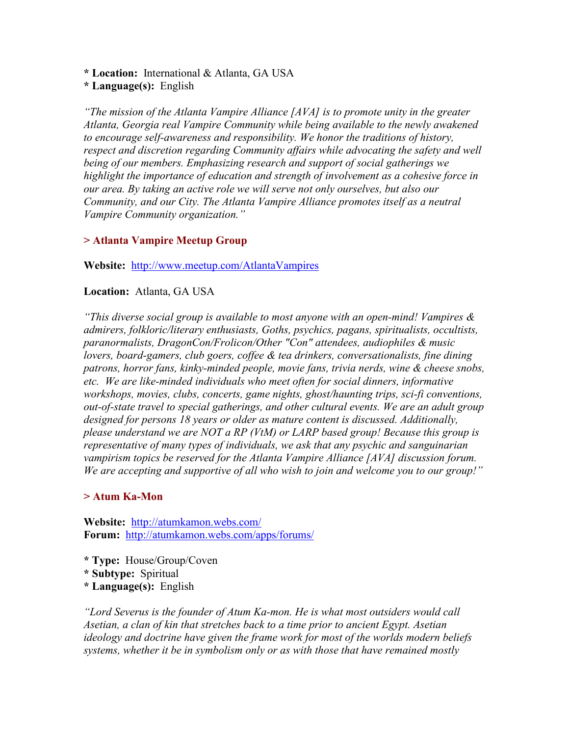**\* Location:** International & Atlanta, GA USA

**\* Language(s):** English

*"The mission of the Atlanta Vampire Alliance [AVA] is to promote unity in the greater Atlanta, Georgia real Vampire Community while being available to the newly awakened to encourage self-awareness and responsibility. We honor the traditions of history, respect and discretion regarding Community affairs while advocating the safety and well being of our members. Emphasizing research and support of social gatherings we highlight the importance of education and strength of involvement as a cohesive force in our area. By taking an active role we will serve not only ourselves, but also our Community, and our City. The Atlanta Vampire Alliance promotes itself as a neutral Vampire Community organization."* 

# **> Atlanta Vampire Meetup Group**

**Website:** <http://www.meetup.com/AtlantaVampires>

# **Location:** Atlanta, GA USA

*"This diverse social group is available to most anyone with an open-mind! Vampires & admirers, folkloric/literary enthusiasts, Goths, psychics, pagans, spiritualists, occultists, paranormalists, DragonCon/Frolicon/Other "Con" attendees, audiophiles & music lovers, board-gamers, club goers, coffee & tea drinkers, conversationalists, fine dining patrons, horror fans, kinky-minded people, movie fans, trivia nerds, wine & cheese snobs, etc. We are like-minded individuals who meet often for social dinners, informative workshops, movies, clubs, concerts, game nights, ghost/haunting trips, sci-fi conventions, out-of-state travel to special gatherings, and other cultural events. We are an adult group designed for persons 18 years or older as mature content is discussed. Additionally, please understand we are NOT a RP (VtM) or LARP based group! Because this group is representative of many types of individuals, we ask that any psychic and sanguinarian vampirism topics be reserved for the Atlanta Vampire Alliance [AVA] discussion forum. We are accepting and supportive of all who wish to join and welcome you to our group!"* 

### **> Atum Ka-Mon**

**Website:** <http://atumkamon.webs.com/> **Forum:** <http://atumkamon.webs.com/apps/forums/>

- **\* Type:** House/Group/Coven
- **\* Subtype:** Spiritual
- **\* Language(s):** English

*"Lord Severus is the founder of Atum Ka-mon. He is what most outsiders would call Asetian, a clan of kin that stretches back to a time prior to ancient Egypt. Asetian ideology and doctrine have given the frame work for most of the worlds modern beliefs systems, whether it be in symbolism only or as with those that have remained mostly*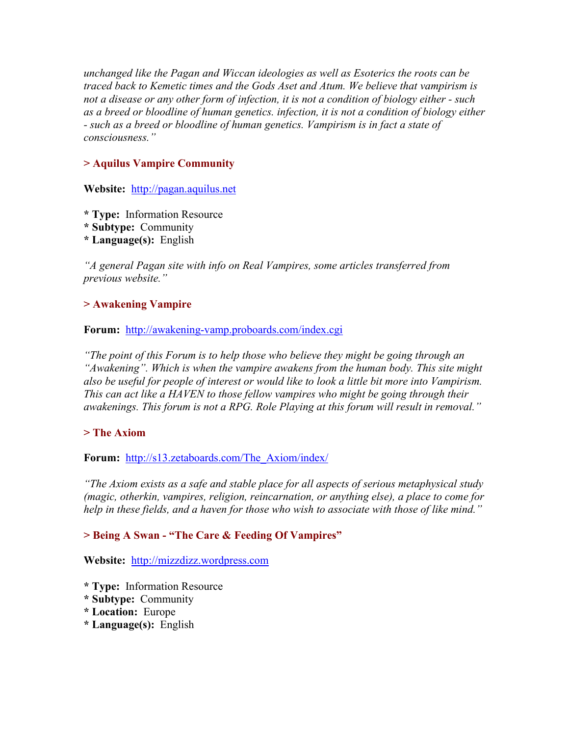*unchanged like the Pagan and Wiccan ideologies as well as Esoterics the roots can be traced back to Kemetic times and the Gods Aset and Atum. We believe that vampirism is not a disease or any other form of infection, it is not a condition of biology either - such as a breed or bloodline of human genetics. infection, it is not a condition of biology either - such as a breed or bloodline of human genetics. Vampirism is in fact a state of consciousness."* 

# **> Aquilus Vampire Community**

**Website:** [http://pagan.aquilus.net](http://pagan.aquilus.net/)

- **\* Type:** Information Resource
- **\* Subtype:** Community
- **\* Language(s):** English

*"A general Pagan site with info on Real Vampires, some articles transferred from previous website."* 

### **> Awakening Vampire**

### **Forum:** <http://awakening-vamp.proboards.com/index.cgi>

*"The point of this Forum is to help those who believe they might be going through an "Awakening". Which is when the vampire awakens from the human body. This site might also be useful for people of interest or would like to look a little bit more into Vampirism. This can act like a HAVEN to those fellow vampires who might be going through their awakenings. This forum is not a RPG. Role Playing at this forum will result in removal."* 

### **> The Axiom**

**Forum:** [http://s13.zetaboards.com/The\\_Axiom/index/](http://s13.zetaboards.com/The_Axiom/index/)

*"The Axiom exists as a safe and stable place for all aspects of serious metaphysical study (magic, otherkin, vampires, religion, reincarnation, or anything else), a place to come for help in these fields, and a haven for those who wish to associate with those of like mind."* 

### **> Being A Swan - "The Care & Feeding Of Vampires"**

**Website:** [http://mizzdizz.wordpress.com](http://mizzdizz.wordpress.com/)

- **\* Type:** Information Resource
- **\* Subtype:** Community
- **\* Location:** Europe
- **\* Language(s):** English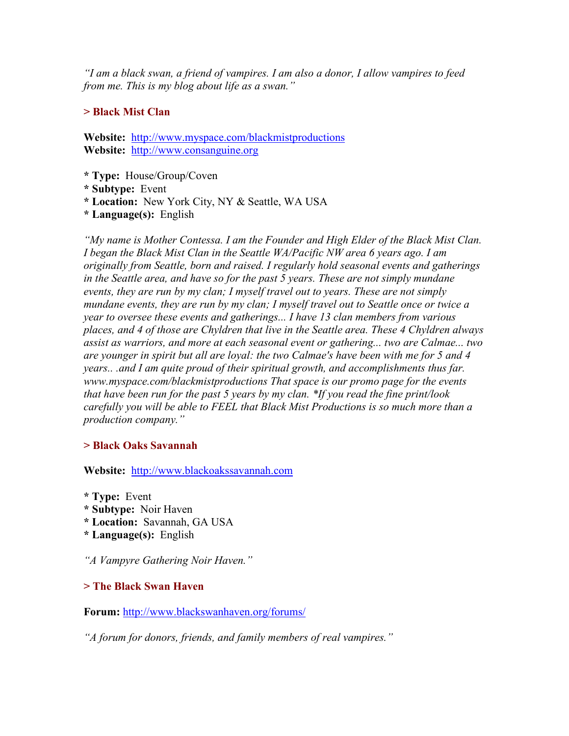*"I am a black swan, a friend of vampires. I am also a donor, I allow vampires to feed from me. This is my blog about life as a swan."* 

# **> Black Mist Clan**

**Website:** <http://www.myspace.com/blackmistproductions> **Website:** [http://www.consanguine.org](http://www.consanguine.org/)

**\* Type:** House/Group/Coven

- **\* Subtype:** Event
- **\* Location:** New York City, NY & Seattle, WA USA

**\* Language(s):** English

*"My name is Mother Contessa. I am the Founder and High Elder of the Black Mist Clan. I began the Black Mist Clan in the Seattle WA/Pacific NW area 6 years ago. I am originally from Seattle, born and raised. I regularly hold seasonal events and gatherings in the Seattle area, and have so for the past 5 years. These are not simply mundane events, they are run by my clan; I myself travel out to years. These are not simply mundane events, they are run by my clan; I myself travel out to Seattle once or twice a year to oversee these events and gatherings... I have 13 clan members from various places, and 4 of those are Chyldren that live in the Seattle area. These 4 Chyldren always assist as warriors, and more at each seasonal event or gathering... two are Calmae... two are younger in spirit but all are loyal: the two Calmae's have been with me for 5 and 4 years.. .and I am quite proud of their spiritual growth, and accomplishments thus far. www.myspace.com/blackmistproductions That space is our promo page for the events that have been run for the past 5 years by my clan. \*If you read the fine print/look carefully you will be able to FEEL that Black Mist Productions is so much more than a production company."* 

# **> Black Oaks Savannah**

**Website:** [http://www.blackoakssavannah.com](http://www.blackoakssavannah.com/)

- **\* Type:** Event
- **\* Subtype:** Noir Haven
- **\* Location:** Savannah, GA USA
- **\* Language(s):** English

*"A Vampyre Gathering Noir Haven."* 

# **> The Black Swan Haven**

**Forum:** <http://www.blackswanhaven.org/forums/>

*"A forum for donors, friends, and family members of real vampires."*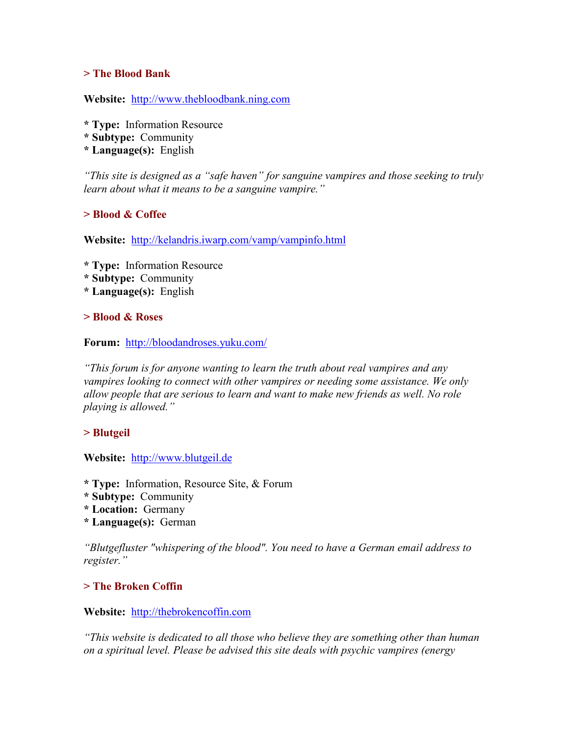### **> The Blood Bank**

**Website:** [http://www.thebloodbank.ning.com](http://www.thebloodbank.ning.com/)

- **\* Type:** Information Resource
- **\* Subtype:** Community
- **\* Language(s):** English

*"This site is designed as a "safe haven" for sanguine vampires and those seeking to truly learn about what it means to be a sanguine vampire."* 

# **> Blood & Coffee**

**Website:** <http://kelandris.iwarp.com/vamp/vampinfo.html>

**\* Type:** Information Resource

- **\* Subtype:** Community
- **\* Language(s):** English

### **> Blood & Roses**

**Forum:** <http://bloodandroses.yuku.com/>

*"This forum is for anyone wanting to learn the truth about real vampires and any vampires looking to connect with other vampires or needing some assistance. We only allow people that are serious to learn and want to make new friends as well. No role playing is allowed."* 

### **> Blutgeil**

**Website:** [http://www.blutgeil.de](http://www.blutgeil.de/)

**\* Type:** Information, Resource Site, & Forum

- **\* Subtype:** Community
- **\* Location:** Germany
- **\* Language(s):** German

*"Blutgefluster "whispering of the blood". You need to have a German email address to register."* 

### **> The Broken Coffin**

### **Website:** [http://thebrokencoffin.com](http://thebrokencoffin.com/)

*"This website is dedicated to all those who believe they are something other than human on a spiritual level. Please be advised this site deals with psychic vampires (energy*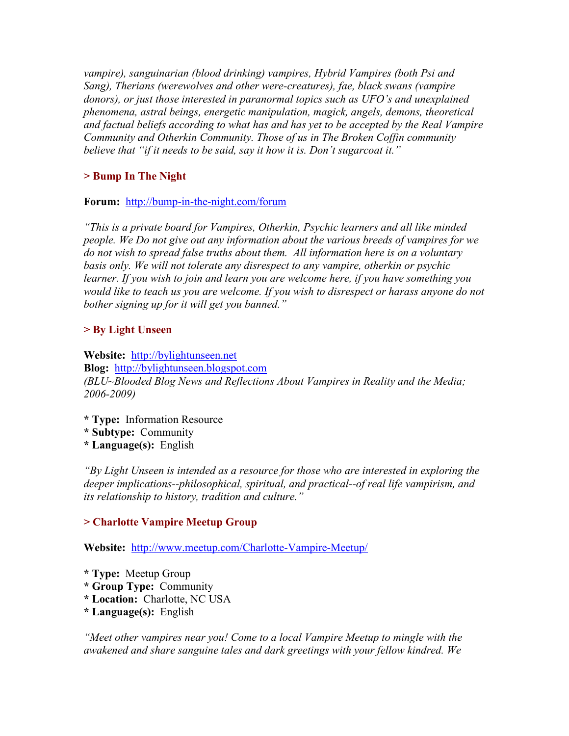*vampire), sanguinarian (blood drinking) vampires, Hybrid Vampires (both Psi and Sang), Therians (werewolves and other were-creatures), fae, black swans (vampire donors), or just those interested in paranormal topics such as UFO's and unexplained phenomena, astral beings, energetic manipulation, magick, angels, demons, theoretical and factual beliefs according to what has and has yet to be accepted by the Real Vampire Community and Otherkin Community. Those of us in The Broken Coffin community believe that "if it needs to be said, say it how it is. Don't sugarcoat it."* 

# **> Bump In The Night**

**Forum:** <http://bump-in-the-night.com/forum>

*"This is a private board for Vampires, Otherkin, Psychic learners and all like minded people. We Do not give out any information about the various breeds of vampires for we do not wish to spread false truths about them. All information here is on a voluntary basis only. We will not tolerate any disrespect to any vampire, otherkin or psychic learner. If you wish to join and learn you are welcome here, if you have something you would like to teach us you are welcome. If you wish to disrespect or harass anyone do not bother signing up for it will get you banned."* 

# **> By Light Unseen**

**Website:** [http://bylightunseen.net](http://bylightunseen.net/) **Blog:** [http://bylightunseen.blogspot.com](http://bylightunseen.blogspot.com/) *(BLU~Blooded Blog News and Reflections About Vampires in Reality and the Media; 2006-2009)*

- **\* Type:** Information Resource
- **\* Subtype:** Community
- **\* Language(s):** English

*"By Light Unseen is intended as a resource for those who are interested in exploring the deeper implications--philosophical, spiritual, and practical--of real life vampirism, and its relationship to history, tradition and culture."* 

# **> Charlotte Vampire Meetup Group**

**Website:** <http://www.meetup.com/Charlotte-Vampire-Meetup/>

- **\* Type:** Meetup Group
- **\* Group Type:** Community
- **\* Location:** Charlotte, NC USA
- **\* Language(s):** English

*"Meet other vampires near you! Come to a local Vampire Meetup to mingle with the awakened and share sanguine tales and dark greetings with your fellow kindred. We*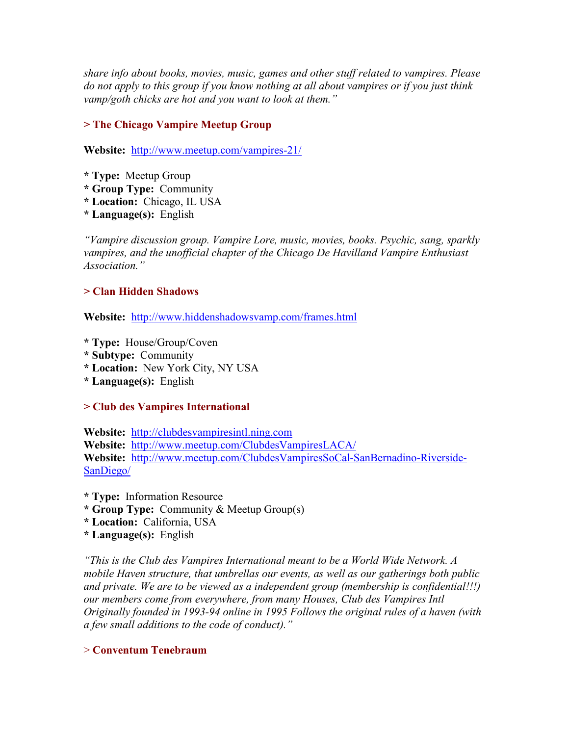*share info about books, movies, music, games and other stuff related to vampires. Please do not apply to this group if you know nothing at all about vampires or if you just think vamp/goth chicks are hot and you want to look at them."* 

# **> The Chicago Vampire Meetup Group**

**Website:** <http://www.meetup.com/vampires-21/>

- **\* Type:** Meetup Group
- **\* Group Type:** Community
- **\* Location:** Chicago, IL USA
- **\* Language(s):** English

*"Vampire discussion group. Vampire Lore, music, movies, books. Psychic, sang, sparkly vampires, and the unofficial chapter of the Chicago De Havilland Vampire Enthusiast Association."* 

#### **> Clan Hidden Shadows**

**Website:** <http://www.hiddenshadowsvamp.com/frames.html>

- **\* Type:** House/Group/Coven
- **\* Subtype:** Community
- **\* Location:** New York City, NY USA
- **\* Language(s):** English

### **> Club des Vampires International**

**Website:** [http://clubdesvampiresintl.ning.com](http://clubdesvampiresintl.ning.com/) **Website:** <http://www.meetup.com/ClubdesVampiresLACA/> **Website:** [http://www.meetup.com/ClubdesVampiresSoCal-SanBernadino-Riverside](http://www.meetup.com/ClubdesVampiresSoCal-SanBernadino-Riverside-SanDiego/)-[SanDiego/](http://www.meetup.com/ClubdesVampiresSoCal-SanBernadino-Riverside-SanDiego/)

**\* Type:** Information Resource

- **\* Group Type:** Community & Meetup Group(s)
- **\* Location:** California, USA
- **\* Language(s):** English

*"This is the Club des Vampires International meant to be a World Wide Network. A mobile Haven structure, that umbrellas our events, as well as our gatherings both public and private. We are to be viewed as a independent group (membership is confidential!!!) our members come from everywhere, from many Houses, Club des Vampires Intl Originally founded in 1993-94 online in 1995 Follows the original rules of a haven (with a few small additions to the code of conduct)."* 

#### > **Conventum Tenebraum**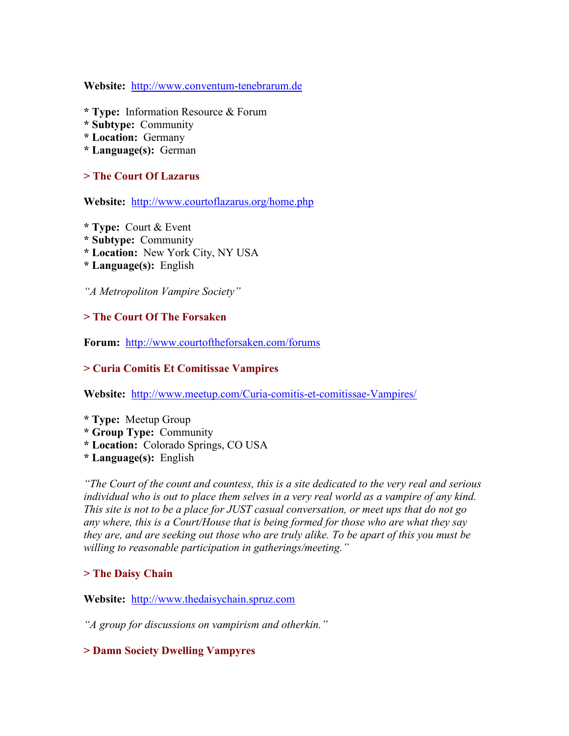**Website:** [http://www.conventum-tenebrarum.de](http://www.conventum-tenebrarum.de/)

- **\* Type:** Information Resource & Forum
- **\* Subtype:** Community
- **\* Location:** Germany
- **\* Language(s):** German

### **> The Court Of Lazarus**

**Website:** <http://www.courtoflazarus.org/home.php>

- **\* Type:** Court & Event
- **\* Subtype:** Community
- **\* Location:** New York City, NY USA
- **\* Language(s):** English

*"A Metropoliton Vampire Society"* 

### **> The Court Of The Forsaken**

**Forum:** <http://www.courtoftheforsaken.com/forums>

### **> Curia Comitis Et Comitissae Vampires**

**Website:** [http://www.meetup.com/Curia-comitis-et-comitissae-Vampires](http://www.meetup.com/Curia-comitis-et-comitissae-Vampires/)/

- **\* Type:** Meetup Group
- **\* Group Type:** Community
- **\* Location:** Colorado Springs, CO USA
- **\* Language(s):** English

*"The Court of the count and countess, this is a site dedicated to the very real and serious*  individual who is out to place them selves in a very real world as a vampire of any kind. *This site is not to be a place for JUST casual conversation, or meet ups that do not go any where, this is a Court/House that is being formed for those who are what they say they are, and are seeking out those who are truly alike. To be apart of this you must be willing to reasonable participation in gatherings/meeting."* 

# **> The Daisy Chain**

**Website:** [http://www.thedaisychain.spruz.com](http://www.thedaisychain.spruz.com/)

*"A group for discussions on vampirism and otherkin."* 

### **> Damn Society Dwelling Vampyres**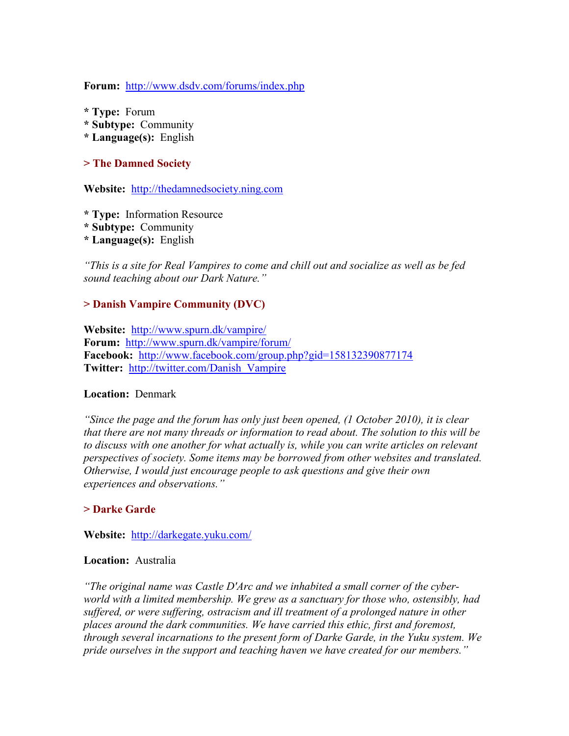**Forum:** <http://www.dsdv.com/forums/index.php>

- **\* Type:** Forum
- **\* Subtype:** Community
- **\* Language(s):** English

#### **> The Damned Society**

**Website:** [http://thedamnedsociety.ning.com](http://thedamnedsociety.ning.com/)

- **\* Type:** Information Resource
- **\* Subtype:** Community
- **\* Language(s):** English

*"This is a site for Real Vampires to come and chill out and socialize as well as be fed sound teaching about our Dark Nature."* 

### **> Danish Vampire Community (DVC)**

**Website:** <http://www.spurn.dk/vampire/> **Forum:** <http://www.spurn.dk/vampire/forum/> **Facebook:** <http://www.facebook.com/group.php?gid=158132390877174> **Twitter:** [http://twitter.com/Danish\\_Vampire](http://twitter.com/Danish_Vampire)

#### **Location:** Denmark

*"Since the page and the forum has only just been opened, (1 October 2010), it is clear that there are not many threads or information to read about. The solution to this will be*  to discuss with one another for what actually is, while you can write articles on relevant *perspectives of society. Some items may be borrowed from other websites and translated. Otherwise, I would just encourage people to ask questions and give their own experiences and observations."* 

#### **> Darke Garde**

#### **Website:** <http://darkegate.yuku.com/>

#### **Location:** Australia

*"The original name was Castle D'Arc and we inhabited a small corner of the cyberworld with a limited membership. We grew as a sanctuary for those who, ostensibly, had*  suffered, or were suffering, ostracism and ill treatment of a prolonged nature in other *places around the dark communities. We have carried this ethic, first and foremost, through several incarnations to the present form of Darke Garde, in the Yuku system. We pride ourselves in the support and teaching haven we have created for our members."*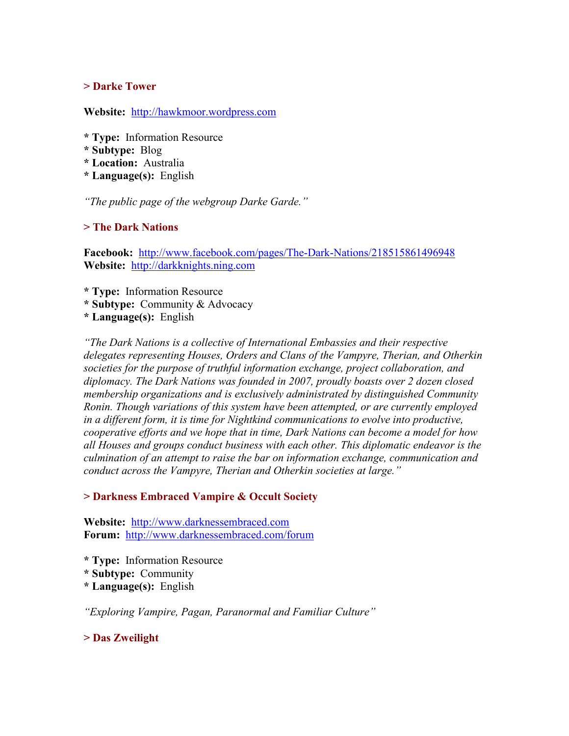### **> Darke Tower**

**Website:** [http://hawkmoor.wordpress.com](http://hawkmoor.wordpress.com/)

- **\* Type:** Information Resource
- **\* Subtype:** Blog
- **\* Location:** Australia
- **\* Language(s):** English

*"The public page of the webgroup Darke Garde."* 

### **> The Dark Nations**

**Facebook:** <http://www.facebook.com/pages/The-Dark-Nations/218515861496948> **Website:** [http://darkknights.ning.com](http://darkknights.ning.com/)

- **\* Type:** Information Resource
- **\* Subtype:** Community & Advocacy

**\* Language(s):** English

*"The Dark Nations is a collective of International Embassies and their respective delegates representing Houses, Orders and Clans of the Vampyre, Therian, and Otherkin societies for the purpose of truthful information exchange, project collaboration, and diplomacy. The Dark Nations was founded in 2007, proudly boasts over 2 dozen closed membership organizations and is exclusively administrated by distinguished Community Ronin. Though variations of this system have been attempted, or are currently employed in a different form, it is time for Nightkind communications to evolve into productive, cooperative efforts and we hope that in time, Dark Nations can become a model for how all Houses and groups conduct business with each other. This diplomatic endeavor is the culmination of an attempt to raise the bar on information exchange, communication and conduct across the Vampyre, Therian and Otherkin societies at large."* 

### **> Darkness Embraced Vampire & Occult Society**

**Website:** [http://www.darknessembraced.com](http://www.darknessembraced.com/) **Forum:** <http://www.darknessembraced.com/forum>

- **\* Type:** Information Resource
- **\* Subtype:** Community
- **\* Language(s):** English

*"Exploring Vampire, Pagan, Paranormal and Familiar Culture"* 

### **> Das Zweilight**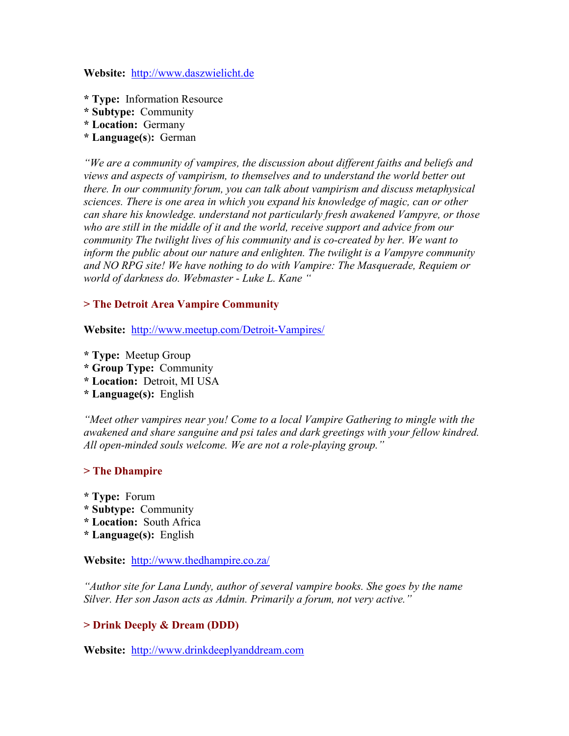**Website:** [http://www.daszwielicht.de](http://www.daszwielicht.de/)

- **\* Type:** Information Resource
- **\* Subtype:** Community
- **\* Location:** Germany
- **\* Language(s**)**:** German

*"We are a community of vampires, the discussion about different faiths and beliefs and views and aspects of vampirism, to themselves and to understand the world better out there. In our community forum, you can talk about vampirism and discuss metaphysical sciences. There is one area in which you expand his knowledge of magic, can or other can share his knowledge. understand not particularly fresh awakened Vampyre, or those who are still in the middle of it and the world, receive support and advice from our community The twilight lives of his community and is co-created by her. We want to inform the public about our nature and enlighten. The twilight is a Vampyre community and NO RPG site! We have nothing to do with Vampire: The Masquerade, Requiem or world of darkness do. Webmaster - Luke L. Kane "* 

### **> The Detroit Area Vampire Community**

**Website:** <http://www.meetup.com/Detroit-Vampires/>

- **\* Type:** Meetup Group
- **\* Group Type:** Community
- **\* Location:** Detroit, MI USA
- **\* Language(s):** English

*"Meet other vampires near you! Come to a local Vampire Gathering to mingle with the awakened and share sanguine and psi tales and dark greetings with your fellow kindred. All open-minded souls welcome. We are not a role-playing group."* 

### **> The Dhampire**

**\* Type:** Forum **\* Subtype:** Community **\* Location:** South Africa **\* Language(s):** English

**Website:** <http://www.thedhampire.co.za/>

*"Author site for Lana Lundy, author of several vampire books. She goes by the name Silver. Her son Jason acts as Admin. Primarily a forum, not very active."* 

### **> Drink Deeply & Dream (DDD)**

**Website:** [http://www.drinkdeeplyanddream.com](http://www.drinkdeeplyanddream.com/)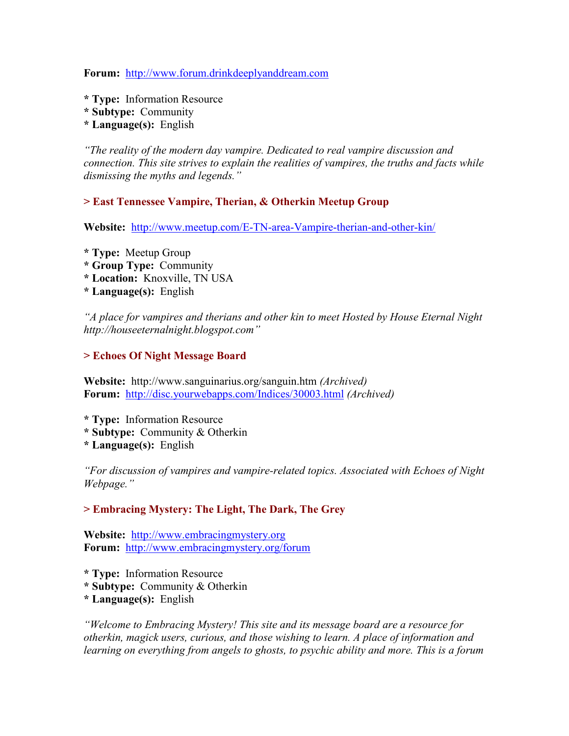**Forum:** [http://www.forum.drinkdeeplyanddream.com](http://www.forum.drinkdeeplyanddream.com/)

- **\* Type:** Information Resource
- **\* Subtype:** Community
- **\* Language(s):** English

*"The reality of the modern day vampire. Dedicated to real vampire discussion and connection. This site strives to explain the realities of vampires, the truths and facts while dismissing the myths and legends."* 

### **> East Tennessee Vampire, Therian, & Otherkin Meetup Group**

**Website:** <http://www.meetup.com/E-TN-area-Vampire-therian-and-other-kin/>

**\* Type:** Meetup Group **\* Group Type:** Community **\* Location:** Knoxville, TN USA **\* Language(s):** English

*"A place for vampires and therians and other kin to meet Hosted by House Eternal Night http://houseeternalnight.blogspot.com"* 

### **> Echoes Of Night Message Board**

**Website:** http://www.sanguinarius.org/sanguin.htm *(Archived)* **Forum:** <http://disc.yourwebapps.com/Indices/30003.html> *(Archived)*

- **\* Type:** Information Resource
- **\* Subtype:** Community & Otherkin
- **\* Language(s):** English

*"For discussion of vampires and vampire-related topics. Associated with Echoes of Night Webpage."* 

### **> Embracing Mystery: The Light, The Dark, The Grey**

**Website:** [http://www.embracingmystery.org](http://www.embracingmystery.org/) **Forum:** <http://www.embracingmystery.org/forum>

- **\* Type:** Information Resource
- **\* Subtype:** Community & Otherkin
- **\* Language(s):** English

*"Welcome to Embracing Mystery! This site and its message board are a resource for otherkin, magick users, curious, and those wishing to learn. A place of information and learning on everything from angels to ghosts, to psychic ability and more. This is a forum*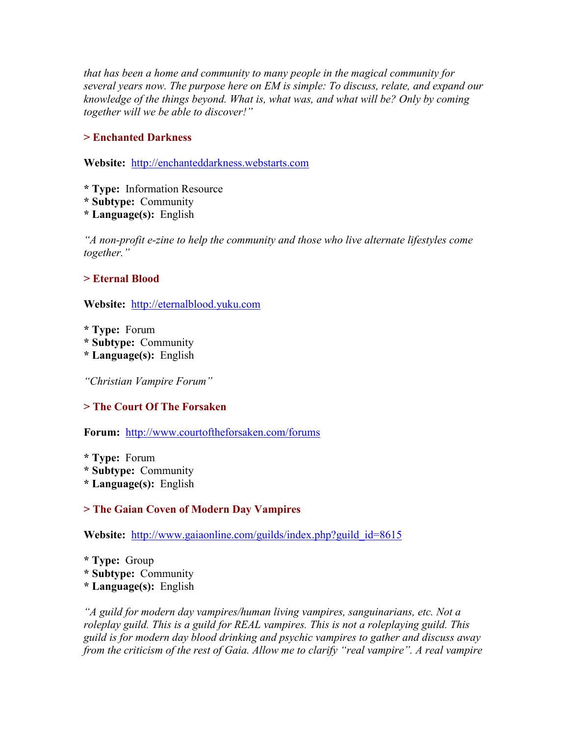*that has been a home and community to many people in the magical community for several years now. The purpose here on EM is simple: To discuss, relate, and expand our knowledge of the things beyond. What is, what was, and what will be? Only by coming together will we be able to discover!"* 

# **> Enchanted Darkness**

**Website:** [http://enchanteddarkness.webstarts.com](http://enchanteddarkness.webstarts.com/)

- **\* Type:** Information Resource
- **\* Subtype:** Community
- **\* Language(s):** English

*"A non-profit e-zine to help the community and those who live alternate lifestyles come together."* 

# **> Eternal Blood**

**Website:** [http://eternalblood.yuku.com](http://eternalblood.yuku.com/)

**\* Type:** Forum

- **\* Subtype:** Community
- **\* Language(s):** English

*"Christian Vampire Forum"* 

# **> The Court Of The Forsaken**

**Forum:** <http://www.courtoftheforsaken.com/forums>

**\* Type:** Forum

**\* Subtype:** Community

**\* Language(s):** English

# **> The Gaian Coven of Modern Day Vampires**

**Website:** [http://www.gaiaonline.com/guilds/index.php?guild\\_id=8615](http://www.gaiaonline.com/guilds/index.php?guild_id=8615)

**\* Type:** Group **\* Subtype:** Community **\* Language(s):** English

*"A guild for modern day vampires/human living vampires, sanguinarians, etc. Not a roleplay guild. This is a guild for REAL vampires. This is not a roleplaying guild. This guild is for modern day blood drinking and psychic vampires to gather and discuss away from the criticism of the rest of Gaia. Allow me to clarify "real vampire". A real vampire*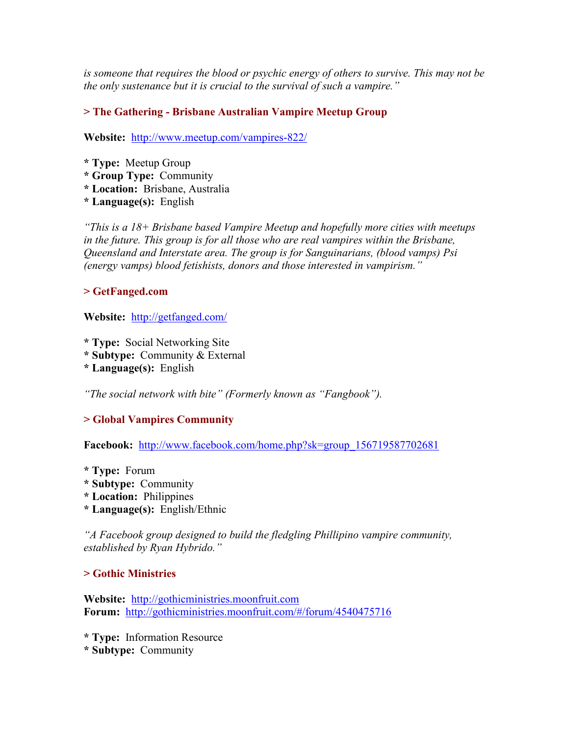*is someone that requires the blood or psychic energy of others to survive. This may not be the only sustenance but it is crucial to the survival of such a vampire."* 

# **> The Gathering - Brisbane Australian Vampire Meetup Group**

**Website:** <http://www.meetup.com/vampires-822/>

- **\* Type:** Meetup Group
- **\* Group Type:** Community
- **\* Location:** Brisbane, Australia
- **\* Language(s):** English

*"This is a 18+ Brisbane based Vampire Meetup and hopefully more cities with meetups in the future. This group is for all those who are real vampires within the Brisbane, Queensland and Interstate area. The group is for Sanguinarians, (blood vamps) Psi (energy vamps) blood fetishists, donors and those interested in vampirism."* 

# **> GetFanged.com**

**Website:** <http://getfanged.com/>

- **\* Type:** Social Networking Site
- **\* Subtype:** Community & External
- **\* Language(s):** English

*"The social network with bite" (Formerly known as "Fangbook").* 

# **> Global Vampires Community**

**Facebook:** [http://www.facebook.com/home.php?sk=group\\_156719587702681](http://www.facebook.com/home.php?sk=group_156719587702681)

- **\* Type:** Forum
- **\* Subtype:** Community
- **\* Location:** Philippines
- **\* Language(s):** English/Ethnic

*"A Facebook group designed to build the fledgling Phillipino vampire community, established by Ryan Hybrido."*

### **> Gothic Ministries**

**Website:** [http://gothicministries.moonfruit.com](http://gothicministries.moonfruit.com/) **Forum:** <http://gothicministries.moonfruit.com/#/forum/4540475716>

**\* Type:** Information Resource

**\* Subtype:** Community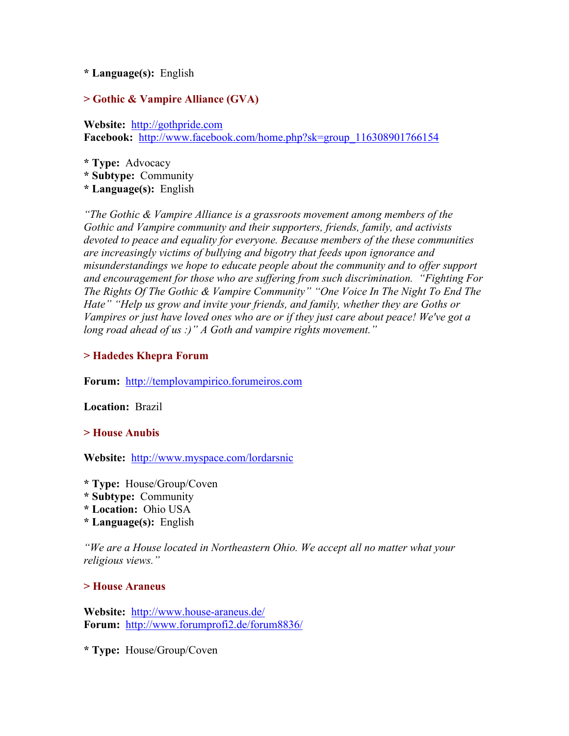### **\* Language(s):** English

### **> Gothic & Vampire Alliance (GVA)**

**Website:** [http://gothpride.com](http://gothpride.com/) **Facebook:** [http://www.facebook.com/home.php?sk=group\\_116308901766154](http://www.facebook.com/home.php?sk=group_116308901766154)

**\* Type:** Advocacy **\* Subtype:** Community **\* Language(s):** English

*"The Gothic & Vampire Alliance is a grassroots movement among members of the Gothic and Vampire community and their supporters, friends, family, and activists devoted to peace and equality for everyone. Because members of the these communities are increasingly victims of bullying and bigotry that feeds upon ignorance and misunderstandings we hope to educate people about the community and to offer support and encouragement for those who are suffering from such discrimination. "Fighting For The Rights Of The Gothic & Vampire Community" "One Voice In The Night To End The Hate" "Help us grow and invite your friends, and family, whether they are Goths or Vampires or just have loved ones who are or if they just care about peace! We've got a long road ahead of us :)" A Goth and vampire rights movement."* 

### **> Hadedes Khepra Forum**

**Forum:** [http://templovampirico.forumeiros.com](http://templovampirico.forumeiros.com/)

**Location:** Brazil

### **> House Anubis**

**Website:** <http://www.myspace.com/lordarsnic>

- **\* Type:** House/Group/Coven
- **\* Subtype:** Community
- **\* Location:** Ohio USA
- **\* Language(s):** English

*"We are a House located in Northeastern Ohio. We accept all no matter what your religious views."* 

#### **> House Araneus**

**Website:** <http://www.house-araneus.de/> **Forum:** <http://www.forumprofi2.de/forum8836/>

**\* Type:** House/Group/Coven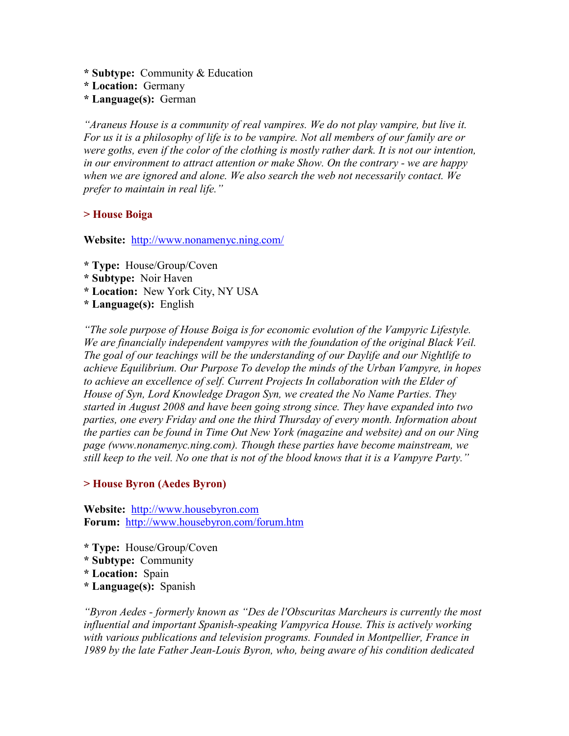**\* Subtype:** Community & Education

- **\* Location:** Germany
- **\* Language(s):** German

*"Araneus House is a community of real vampires. We do not play vampire, but live it. For us it is a philosophy of life is to be vampire. Not all members of our family are or were goths, even if the color of the clothing is mostly rather dark. It is not our intention, in our environment to attract attention or make Show. On the contrary - we are happy when we are ignored and alone. We also search the web not necessarily contact. We prefer to maintain in real life."* 

### **> House Boiga**

**Website:** <http://www.nonamenyc.ning.com/>

- **\* Type:** House/Group/Coven
- **\* Subtype:** Noir Haven
- **\* Location:** New York City, NY USA
- **\* Language(s):** English

*"The sole purpose of House Boiga is for economic evolution of the Vampyric Lifestyle. We are financially independent vampyres with the foundation of the original Black Veil. The goal of our teachings will be the understanding of our Daylife and our Nightlife to achieve Equilibrium. Our Purpose To develop the minds of the Urban Vampyre, in hopes*  to achieve an excellence of self. Current Projects In collaboration with the Elder of *House of Syn, Lord Knowledge Dragon Syn, we created the No Name Parties. They started in August 2008 and have been going strong since. They have expanded into two parties, one every Friday and one the third Thursday of every month. Information about the parties can be found in Time Out New York (magazine and website) and on our Ning page (www.nonamenyc.ning.com). Though these parties have become mainstream, we still keep to the veil. No one that is not of the blood knows that it is a Vampyre Party."* 

### **> House Byron (Aedes Byron)**

**Website:** [http://www.housebyron.com](http://www.housebyron.com/) **Forum:** <http://www.housebyron.com/forum.htm>

- **\* Type:** House/Group/Coven
- **\* Subtype:** Community
- **\* Location:** Spain
- **\* Language(s):** Spanish

*"Byron Aedes - formerly known as "Des de l'Obscuritas Marcheurs is currently the most influential and important Spanish-speaking Vampyrica House. This is actively working with various publications and television programs. Founded in Montpellier, France in 1989 by the late Father Jean-Louis Byron, who, being aware of his condition dedicated*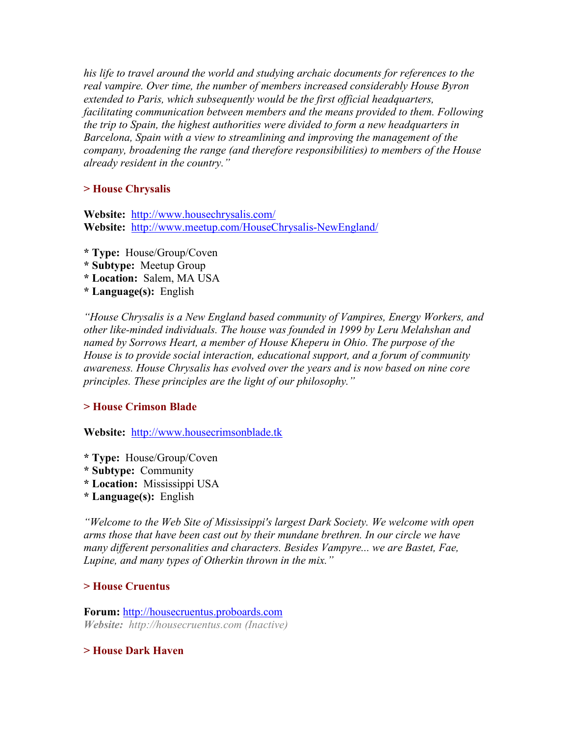*his life to travel around the world and studying archaic documents for references to the real vampire. Over time, the number of members increased considerably House Byron extended to Paris, which subsequently would be the first official headquarters, facilitating communication between members and the means provided to them. Following the trip to Spain, the highest authorities were divided to form a new headquarters in Barcelona, Spain with a view to streamlining and improving the management of the company, broadening the range (and therefore responsibilities) to members of the House already resident in the country."* 

# **> House Chrysalis**

**Website:** <http://www.housechrysalis.com/> **Website:** <http://www.meetup.com/HouseChrysalis-NewEngland/>

- **\* Type:** House/Group/Coven
- **\* Subtype:** Meetup Group
- **\* Location:** Salem, MA USA
- **\* Language(s):** English

*"House Chrysalis is a New England based community of Vampires, Energy Workers, and other like-minded individuals. The house was founded in 1999 by Leru Melahshan and named by Sorrows Heart, a member of House Kheperu in Ohio. The purpose of the House is to provide social interaction, educational support, and a forum of community awareness. House Chrysalis has evolved over the years and is now based on nine core principles. These principles are the light of our philosophy."* 

#### **> House Crimson Blade**

**Website:** [http://www.housecrimsonblade.tk](http://www.housecrimsonblade.tk/)

- **\* Type:** House/Group/Coven
- **\* Subtype:** Community
- **\* Location:** Mississippi USA
- **\* Language(s):** English

*"Welcome to the Web Site of Mississippi's largest Dark Society. We welcome with open arms those that have been cast out by their mundane brethren. In our circle we have many different personalities and characters. Besides Vampyre... we are Bastet, Fae, Lupine, and many types of Otherkin thrown in the mix."* 

#### **> House Cruentus**

**Forum:** [http://housecruentus.proboards.com](http://housecruentus.proboards.com/) *Website: http://housecruentus.com (Inactive)* 

**> House Dark Haven**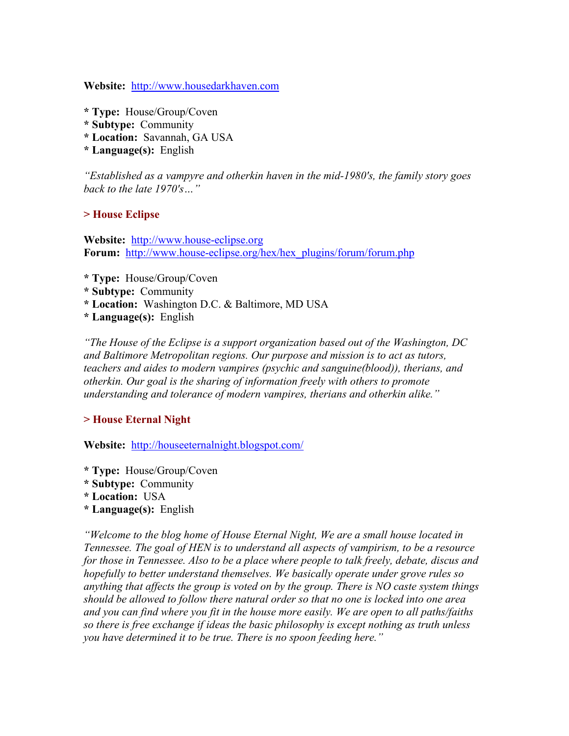**Website:** [http://www.housedarkhaven.com](http://www.housedarkhaven.com/)

- **\* Type:** House/Group/Coven
- **\* Subtype:** Community
- **\* Location:** Savannah, GA USA
- **\* Language(s):** English

*"Established as a vampyre and otherkin haven in the mid-1980's, the family story goes back to the late 1970's…"* 

### **> House Eclipse**

**Website:** [http://www.house-eclipse.org](http://www.house-eclipse.org/) **Forum:** [http://www.house-eclipse.org/hex/hex\\_plugins/forum/forum.php](http://www.house-eclipse.org/hex/hex_plugins/forum/forum.php)

- **\* Type:** House/Group/Coven
- **\* Subtype:** Community
- **\* Location:** Washington D.C. & Baltimore, MD USA
- **\* Language(s):** English

*"The House of the Eclipse is a support organization based out of the Washington, DC and Baltimore Metropolitan regions. Our purpose and mission is to act as tutors, teachers and aides to modern vampires (psychic and sanguine(blood)), therians, and otherkin. Our goal is the sharing of information freely with others to promote understanding and tolerance of modern vampires, therians and otherkin alike."* 

### **> House Eternal Night**

**Website:** <http://houseeternalnight.blogspot.com/>

- **\* Type:** House/Group/Coven
- **\* Subtype:** Community
- **\* Location:** USA
- **\* Language(s):** English

*"Welcome to the blog home of House Eternal Night, We are a small house located in Tennessee. The goal of HEN is to understand all aspects of vampirism, to be a resource for those in Tennessee. Also to be a place where people to talk freely, debate, discus and hopefully to better understand themselves. We basically operate under grove rules so anything that affects the group is voted on by the group. There is NO caste system things should be allowed to follow there natural order so that no one is locked into one area and you can find where you fit in the house more easily. We are open to all paths/faiths so there is free exchange if ideas the basic philosophy is except nothing as truth unless you have determined it to be true. There is no spoon feeding here."*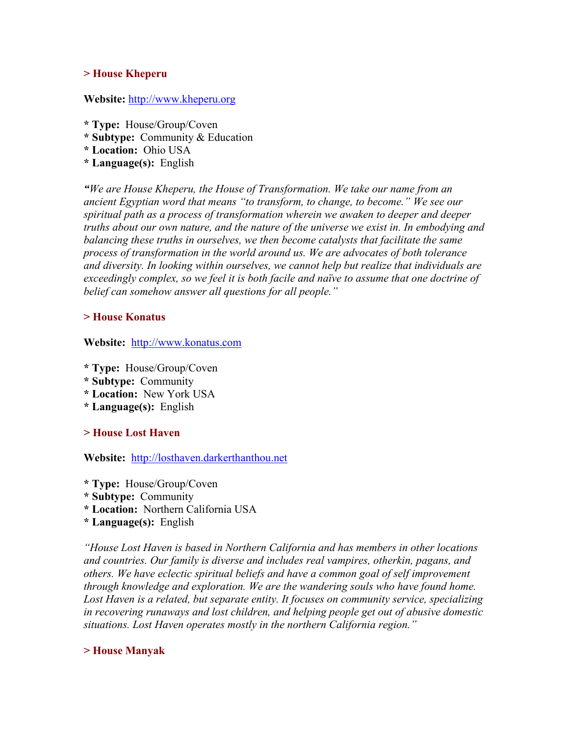#### **> House Kheperu**

#### **Website:** [http://www.kheperu.org](http://www.kheperu.org/)

- **\* Type:** House/Group/Coven
- **\* Subtype:** Community & Education
- **\* Location:** Ohio USA
- **\* Language(s):** English

*"We are House Kheperu, the House of Transformation. We take our name from an ancient Egyptian word that means "to transform, to change, to become." We see our spiritual path as a process of transformation wherein we awaken to deeper and deeper truths about our own nature, and the nature of the universe we exist in. In embodying and balancing these truths in ourselves, we then become catalysts that facilitate the same process of transformation in the world around us. We are advocates of both tolerance and diversity. In looking within ourselves, we cannot help but realize that individuals are exceedingly complex, so we feel it is both facile and naïve to assume that one doctrine of belief can somehow answer all questions for all people."* 

### **> House Konatus**

**Website:** [http://www.konatus.com](http://www.konatus.com/)

- **\* Type:** House/Group/Coven
- **\* Subtype:** Community
- **\* Location:** New York USA
- **\* Language(s):** English

### **> House Lost Haven**

**Website:** [http://losthaven.darkerthanthou.net](http://losthaven.darkerthanthou.net/)

- **\* Type:** House/Group/Coven
- **\* Subtype:** Community
- **\* Location:** Northern California USA
- **\* Language(s):** English

*"House Lost Haven is based in Northern California and has members in other locations and countries. Our family is diverse and includes real vampires, otherkin, pagans, and others. We have eclectic spiritual beliefs and have a common goal of self improvement through knowledge and exploration. We are the wandering souls who have found home.*  Lost Haven is a related, but separate entity. It focuses on community service, specializing *in recovering runaways and lost children, and helping people get out of abusive domestic situations. Lost Haven operates mostly in the northern California region."* 

### **> House Manyak**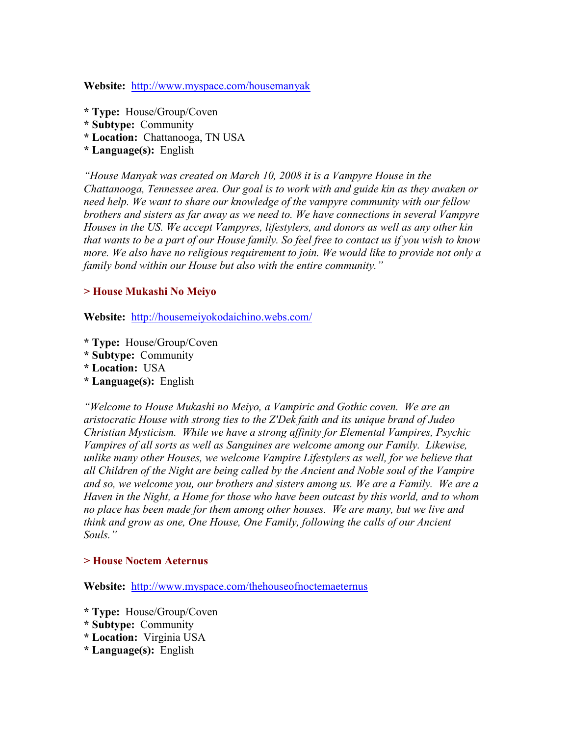**Website:** <http://www.myspace.com/housemanyak>

- **\* Type:** House/Group/Coven
- **\* Subtype:** Community
- **\* Location:** Chattanooga, TN USA
- **\* Language(s):** English

*"House Manyak was created on March 10, 2008 it is a Vampyre House in the Chattanooga, Tennessee area. Our goal is to work with and guide kin as they awaken or need help. We want to share our knowledge of the vampyre community with our fellow brothers and sisters as far away as we need to. We have connections in several Vampyre Houses in the US. We accept Vampyres, lifestylers, and donors as well as any other kin that wants to be a part of our House family. So feel free to contact us if you wish to know more. We also have no religious requirement to join. We would like to provide not only a family bond within our House but also with the entire community."* 

### **> House Mukashi No Meiyo**

**Website:** <http://housemeiyokodaichino.webs.com/>

- **\* Type:** House/Group/Coven
- **\* Subtype:** Community
- **\* Location:** USA
- **\* Language(s):** English

*"Welcome to House Mukashi no Meiyo, a Vampiric and Gothic coven. We are an aristocratic House with strong ties to the Z'Dek faith and its unique brand of Judeo Christian Mysticism. While we have a strong affinity for Elemental Vampires, Psychic Vampires of all sorts as well as Sanguines are welcome among our Family. Likewise, unlike many other Houses, we welcome Vampire Lifestylers as well, for we believe that all Children of the Night are being called by the Ancient and Noble soul of the Vampire and so, we welcome you, our brothers and sisters among us. We are a Family. We are a Haven in the Night, a Home for those who have been outcast by this world, and to whom no place has been made for them among other houses. We are many, but we live and think and grow as one, One House, One Family, following the calls of our Ancient Souls."* 

### **> House Noctem Aeternus**

**Website:** <http://www.myspace.com/thehouseofnoctemaeternus>

- **\* Type:** House/Group/Coven
- **\* Subtype:** Community
- **\* Location:** Virginia USA
- **\* Language(s):** English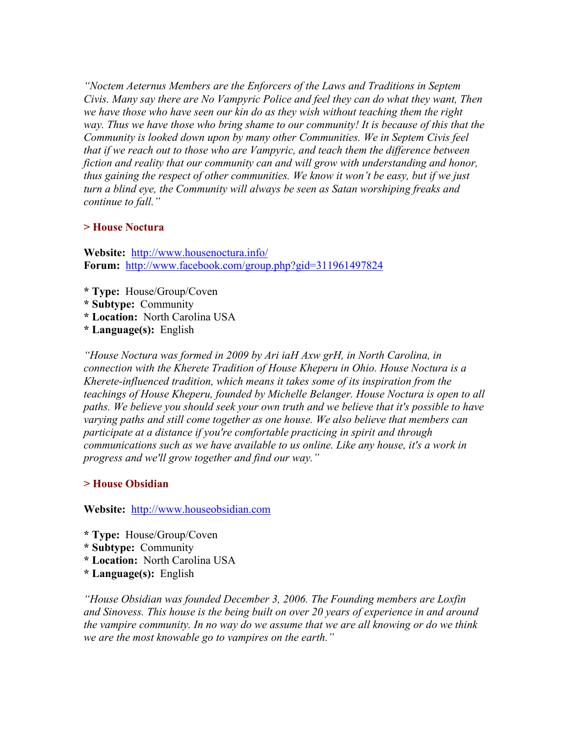*"Noctem Aeternus Members are the Enforcers of the Laws and Traditions in Septem Civis. Many say there are No Vampyric Police and feel they can do what they want, Then we have those who have seen our kin do as they wish without teaching them the right way. Thus we have those who bring shame to our community! It is because of this that the Community is looked down upon by many other Communities. We in Septem Civis feel that if we reach out to those who are Vampyric, and teach them the difference between*  fiction and reality that our community can and will grow with understanding and honor, *thus gaining the respect of other communities. We know it won't be easy, but if we just turn a blind eye, the Community will always be seen as Satan worshiping freaks and continue to fall."* 

### **> House Noctura**

**Website:** <http://www.housenoctura.info/> **Forum:** <http://www.facebook.com/group.php?gid=311961497824>

- **\* Type:** House/Group/Coven
- **\* Subtype:** Community
- **\* Location:** North Carolina USA
- **\* Language(s):** English

*"House Noctura was formed in 2009 by Ari iaH Axw grH, in North Carolina, in connection with the Kherete Tradition of House Kheperu in Ohio. House Noctura is a Kherete-influenced tradition, which means it takes some of its inspiration from the teachings of House Kheperu, founded by Michelle Belanger. House Noctura is open to all paths. We believe you should seek your own truth and we believe that it's possible to have varying paths and still come together as one house. We also believe that members can participate at a distance if you're comfortable practicing in spirit and through communications such as we have available to us online. Like any house, it's a work in progress and we'll grow together and find our way."* 

# **> House Obsidian**

**Website:** [http://www.houseobsidian.com](http://www.houseobsidian.com/)

- **\* Type:** House/Group/Coven
- **\* Subtype:** Community
- **\* Location:** North Carolina USA
- **\* Language(s):** English

*"House Obsidian was founded December 3, 2006. The Founding members are Loxfin and Sinovess. This house is the being built on over 20 years of experience in and around the vampire community. In no way do we assume that we are all knowing or do we think we are the most knowable go to vampires on the earth."*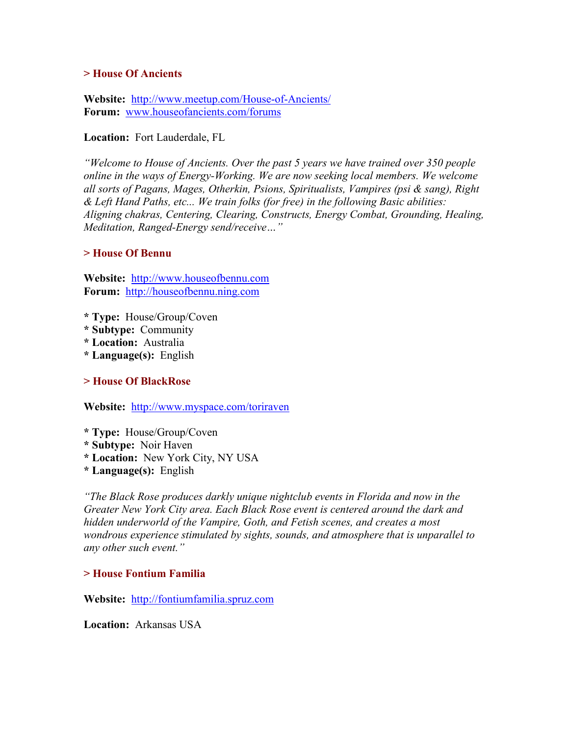#### **> House Of Ancients**

**Website:** <http://www.meetup.com/House-of-Ancients/> **Forum:** [www.houseofancients.com/forums](http://www.houseofancients.com/forums)

**Location:** Fort Lauderdale, FL

*"Welcome to House of Ancients. Over the past 5 years we have trained over 350 people online in the ways of Energy-Working. We are now seeking local members. We welcome all sorts of Pagans, Mages, Otherkin, Psions, Spiritualists, Vampires (psi & sang), Right & Left Hand Paths, etc... We train folks (for free) in the following Basic abilities: Aligning chakras, Centering, Clearing, Constructs, Energy Combat, Grounding, Healing, Meditation, Ranged-Energy send/receive…"* 

### **> House Of Bennu**

**Website:** [http://www.houseofbennu.com](http://www.houseofbennu.com/)  **Forum:** [http://houseofbennu.ning.com](http://houseofbennu.ning.com/)

- **\* Type:** House/Group/Coven
- **\* Subtype:** Community
- **\* Location:** Australia
- **\* Language(s):** English

**> House Of BlackRose** 

**Website:** <http://www.myspace.com/toriraven>

- **\* Type:** House/Group/Coven
- **\* Subtype:** Noir Haven
- **\* Location:** New York City, NY USA
- **\* Language(s):** English

*"The Black Rose produces darkly unique nightclub events in Florida and now in the Greater New York City area. Each Black Rose event is centered around the dark and hidden underworld of the Vampire, Goth, and Fetish scenes, and creates a most wondrous experience stimulated by sights, sounds, and atmosphere that is unparallel to any other such event."* 

### **> House Fontium Familia**

**Website:** [http://fontiumfamilia.spruz.com](http://fontiumfamilia.spruz.com/)

**Location:** Arkansas USA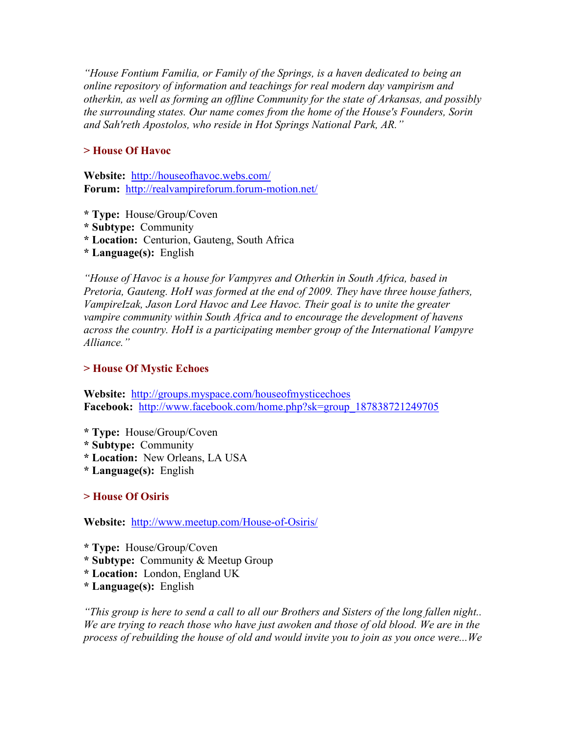*"House Fontium Familia, or Family of the Springs, is a haven dedicated to being an online repository of information and teachings for real modern day vampirism and otherkin, as well as forming an offline Community for the state of Arkansas, and possibly the surrounding states. Our name comes from the home of the House's Founders, Sorin and Sah'reth Apostolos, who reside in Hot Springs National Park, AR."* 

### **> House Of Havoc**

**Website:** <http://houseofhavoc.webs.com/> **Forum:** <http://realvampireforum.forum-motion.net/>

- **\* Type:** House/Group/Coven
- **\* Subtype:** Community
- **\* Location:** Centurion, Gauteng, South Africa
- **\* Language(s):** English

*"House of Havoc is a house for Vampyres and Otherkin in South Africa, based in Pretoria, Gauteng. HoH was formed at the end of 2009. They have three house fathers, VampireIzak, Jason Lord Havoc and Lee Havoc. Their goal is to unite the greater vampire community within South Africa and to encourage the development of havens across the country. HoH is a participating member group of the International Vampyre Alliance."* 

#### **> House Of Mystic Echoes**

**Website:** <http://groups.myspace.com/houseofmysticechoes> **Facebook:** [http://www.facebook.com/home.php?sk=group\\_187838721249705](http://www.facebook.com/home.php?sk=group_187838721249705)

- **\* Type:** House/Group/Coven
- **\* Subtype:** Community
- **\* Location:** New Orleans, LA USA
- **\* Language(s):** English

**> House Of Osiris** 

**Website:** <http://www.meetup.com/House-of-Osiris/>

- **\* Type:** House/Group/Coven
- **\* Subtype:** Community & Meetup Group
- **\* Location:** London, England UK
- **\* Language(s):** English

*"This group is here to send a call to all our Brothers and Sisters of the long fallen night.. We are trying to reach those who have just awoken and those of old blood. We are in the process of rebuilding the house of old and would invite you to join as you once were...We*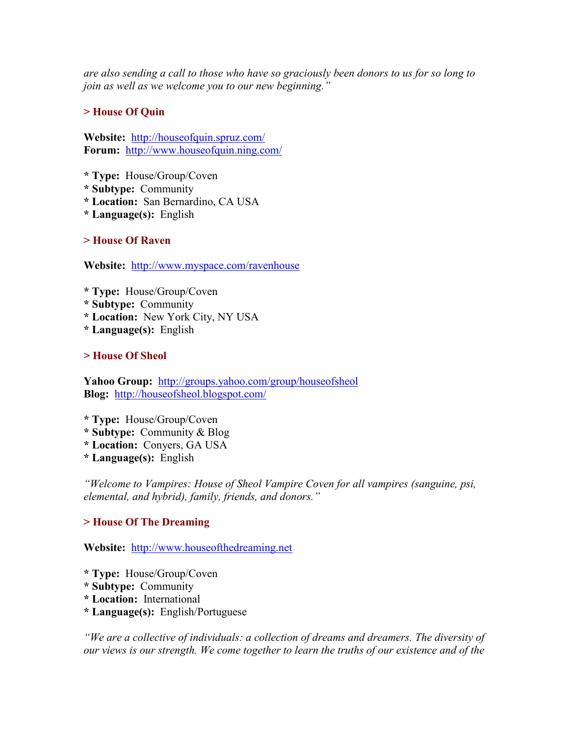*are also sending a call to those who have so graciously been donors to us for so long to join as well as we welcome you to our new beginning."* 

# **> House Of Quin**

**Website:** <http://houseofquin.spruz.com/> **Forum:** <http://www.houseofquin.ning.com/>

**\* Type:** House/Group/Coven

- **\* Subtype:** Community
- **\* Location:** San Bernardino, CA USA
- **\* Language(s):** English

**> House Of Raven**

**Website:** <http://www.myspace.com/ravenhouse>

- **\* Type:** House/Group/Coven
- **\* Subtype:** Community
- **\* Location:** New York City, NY USA
- **\* Language(s):** English

**> House Of Sheol**

Yahoo Group: <http://groups.yahoo.com/group/houseofsheol> **Blog:** <http://houseofsheol.blogspot.com/>

- **\* Type:** House/Group/Coven
- **\* Subtype:** Community & Blog
- **\* Location:** Conyers, GA USA
- **\* Language(s):** English

*"Welcome to Vampires: House of Sheol Vampire Coven for all vampires (sanguine, psi, elemental, and hybrid), family, friends, and donors."* 

# **> House Of The Dreaming**

**Website:** [http://www.houseofthedreaming.net](http://www.houseofthedreaming.net/) 

- **\* Type:** House/Group/Coven
- **\* Subtype:** Community
- **\* Location:** International
- **\* Language(s):** English/Portuguese

*"We are a collective of individuals: a collection of dreams and dreamers. The diversity of our views is our strength. We come together to learn the truths of our existence and of the*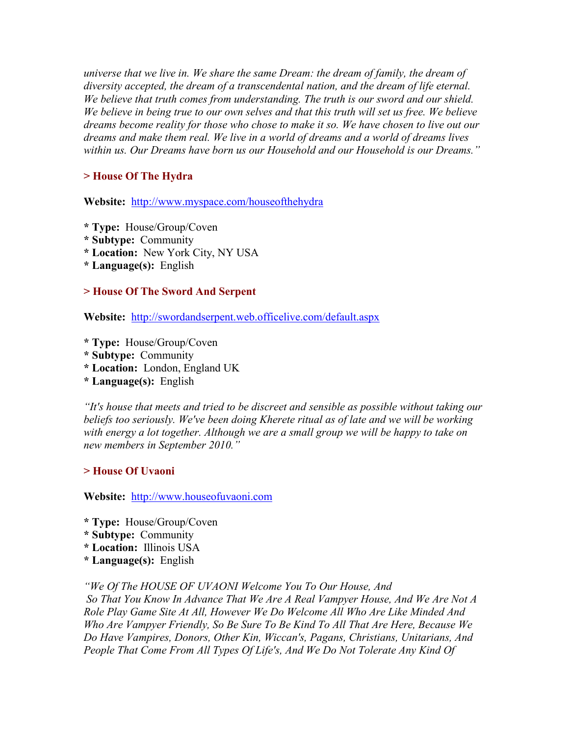*universe that we live in. We share the same Dream: the dream of family, the dream of diversity accepted, the dream of a transcendental nation, and the dream of life eternal. We believe that truth comes from understanding. The truth is our sword and our shield. We believe in being true to our own selves and that this truth will set us free. We believe dreams become reality for those who chose to make it so. We have chosen to live out our dreams and make them real. We live in a world of dreams and a world of dreams lives within us. Our Dreams have born us our Household and our Household is our Dreams."* 

# **> House Of The Hydra**

**Website:** <http://www.myspace.com/houseofthehydra>

- **\* Type:** House/Group/Coven
- **\* Subtype:** Community
- **\* Location:** New York City, NY USA
- **\* Language(s):** English

### **> House Of The Sword And Serpent**

**Website:** <http://swordandserpent.web.officelive.com/default.aspx>

- **\* Type:** House/Group/Coven
- **\* Subtype:** Community
- **\* Location:** London, England UK
- **\* Language(s):** English

*"It's house that meets and tried to be discreet and sensible as possible without taking our beliefs too seriously. We've been doing Kherete ritual as of late and we will be working with energy a lot together. Although we are a small group we will be happy to take on new members in September 2010."* 

### **> House Of Uvaoni**

**Website:** [http://www.houseofuvaoni.com](http://www.houseofuvaoni.com/)

- **\* Type:** House/Group/Coven
- **\* Subtype:** Community
- **\* Location:** Illinois USA
- **\* Language(s):** English

*"We Of The HOUSE OF UVAONI Welcome You To Our House, And* 

 *So That You Know In Advance That We Are A Real Vampyer House, And We Are Not A Role Play Game Site At All, However We Do Welcome All Who Are Like Minded And Who Are Vampyer Friendly, So Be Sure To Be Kind To All That Are Here, Because We Do Have Vampires, Donors, Other Kin, Wiccan's, Pagans, Christians, Unitarians, And*  People That Come From All Types Of Life's, And We Do Not Tolerate Any Kind Of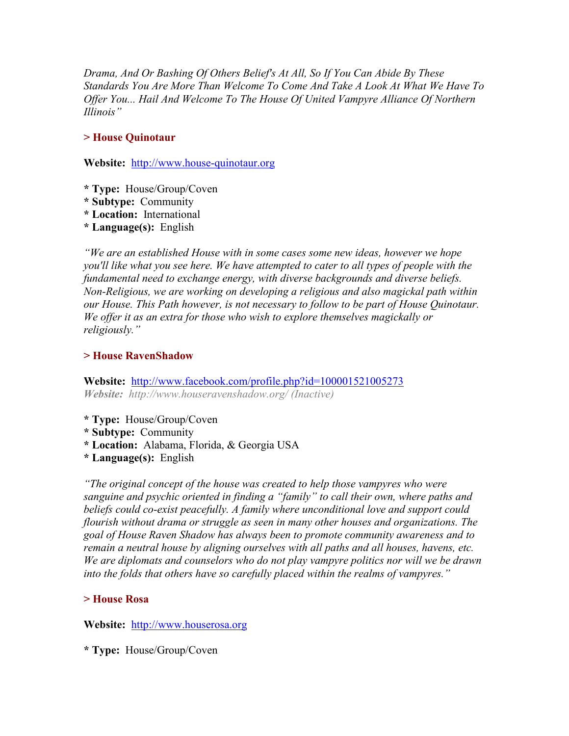*Drama, And Or Bashing Of Others Belief's At All, So If You Can Abide By These Standards You Are More Than Welcome To Come And Take A Look At What We Have To Offer You... Hail And Welcome To The House Of United Vampyre Alliance Of Northern Illinois"* 

### **> House Quinotaur**

**Website:** [http://www.house-quinotaur.org](http://www.house-quinotaur.org/)

- **\* Type:** House/Group/Coven
- **\* Subtype:** Community
- **\* Location:** International
- **\* Language(s):** English

*"We are an established House with in some cases some new ideas, however we hope you'll like what you see here. We have attempted to cater to all types of people with the fundamental need to exchange energy, with diverse backgrounds and diverse beliefs. Non-Religious, we are working on developing a religious and also magickal path within our House. This Path however, is not necessary to follow to be part of House Quinotaur. We offer it as an extra for those who wish to explore themselves magickally or religiously."* 

### **> House RavenShadow**

**Website:** <http://www.facebook.com/profile.php?id=100001521005273> *Website: http://www.houseravenshadow.org/ (Inactive)* 

- **\* Type:** House/Group/Coven
- **\* Subtype:** Community
- **\* Location:** Alabama, Florida, & Georgia USA
- **\* Language(s):** English

*"The original concept of the house was created to help those vampyres who were sanguine and psychic oriented in finding a "family" to call their own, where paths and beliefs could co-exist peacefully. A family where unconditional love and support could flourish without drama or struggle as seen in many other houses and organizations. The goal of House Raven Shadow has always been to promote community awareness and to*  remain a neutral house by aligning ourselves with all paths and all houses, havens, etc. *We are diplomats and counselors who do not play vampyre politics nor will we be drawn into the folds that others have so carefully placed within the realms of vampyres."* 

# **> House Rosa**

**Website:** [http://www.houserosa.org](http://www.houserosa.org/)

**\* Type:** House/Group/Coven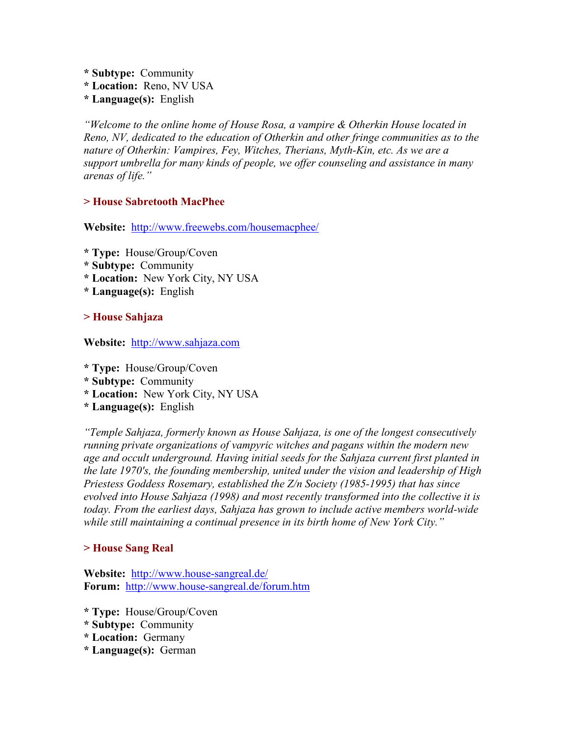- **\* Subtype:** Community
- **\* Location:** Reno, NV USA
- **\* Language(s):** English

*"Welcome to the online home of House Rosa, a vampire & Otherkin House located in Reno, NV, dedicated to the education of Otherkin and other fringe communities as to the nature of Otherkin: Vampires, Fey, Witches, Therians, Myth-Kin, etc. As we are a support umbrella for many kinds of people, we offer counseling and assistance in many arenas of life."* 

# **> House Sabretooth MacPhee**

**Website:** <http://www.freewebs.com/housemacphee/>

- **\* Type:** House/Group/Coven
- **\* Subtype:** Community
- **\* Location:** New York City, NY USA
- **\* Language(s):** English

# **> House Sahjaza**

**Website:** [http://www.sahjaza.com](http://www.sahjaza.com/)

- **\* Type:** House/Group/Coven
- **\* Subtype:** Community
- **\* Location:** New York City, NY USA
- **\* Language(s):** English

*"Temple Sahjaza, formerly known as House Sahjaza, is one of the longest consecutively running private organizations of vampyric witches and pagans within the modern new age and occult underground. Having initial seeds for the Sahjaza current first planted in the late 1970's, the founding membership, united under the vision and leadership of High Priestess Goddess Rosemary, established the Z/n Society (1985-1995) that has since evolved into House Sahjaza (1998) and most recently transformed into the collective it is today. From the earliest days, Sahjaza has grown to include active members world-wide while still maintaining a continual presence in its birth home of New York City."* 

# **> House Sang Real**

**Website:** <http://www.house-sangreal.de/> **Forum:** <http://www.house-sangreal.de/forum.htm>

- **\* Type:** House/Group/Coven
- **\* Subtype:** Community
- **\* Location:** Germany
- **\* Language(s):** German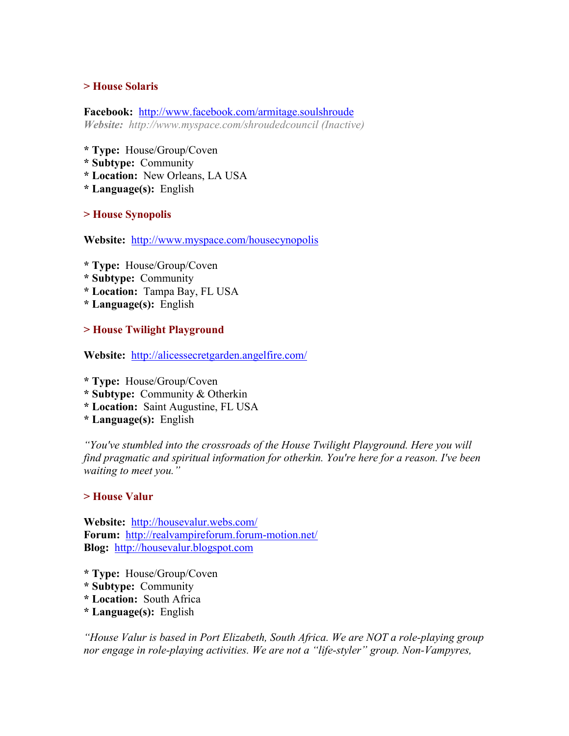### **> House Solaris**

**Facebook:** <http://www.facebook.com/armitage.soulshroude> *Website: http://www.myspace.com/shroudedcouncil (Inactive)* 

- **\* Type:** House/Group/Coven
- **\* Subtype:** Community
- **\* Location:** New Orleans, LA USA
- **\* Language(s):** English

**> House Synopolis** 

**Website:** <http://www.myspace.com/housecynopolis>

- **\* Type:** House/Group/Coven
- **\* Subtype:** Community
- **\* Location:** Tampa Bay, FL USA
- **\* Language(s):** English

#### **> House Twilight Playground**

**Website:** <http://alicessecretgarden.angelfire.com/>

- **\* Type:** House/Group/Coven
- **\* Subtype:** Community & Otherkin
- **\* Location:** Saint Augustine, FL USA
- **\* Language(s):** English

*"You've stumbled into the crossroads of the House Twilight Playground. Here you will find pragmatic and spiritual information for otherkin. You're here for a reason. I've been waiting to meet you."* 

#### **> House Valur**

**Website:** <http://housevalur.webs.com/> **Forum:** <http://realvampireforum.forum-motion.net/> **Blog:** [http://housevalur.blogspot.com](http://housevalur.blogspot.com/)

- **\* Type:** House/Group/Coven
- **\* Subtype:** Community
- **\* Location:** South Africa
- **\* Language(s):** English

*"House Valur is based in Port Elizabeth, South Africa. We are NOT a role-playing group nor engage in role-playing activities. We are not a "life-styler" group. Non-Vampyres,*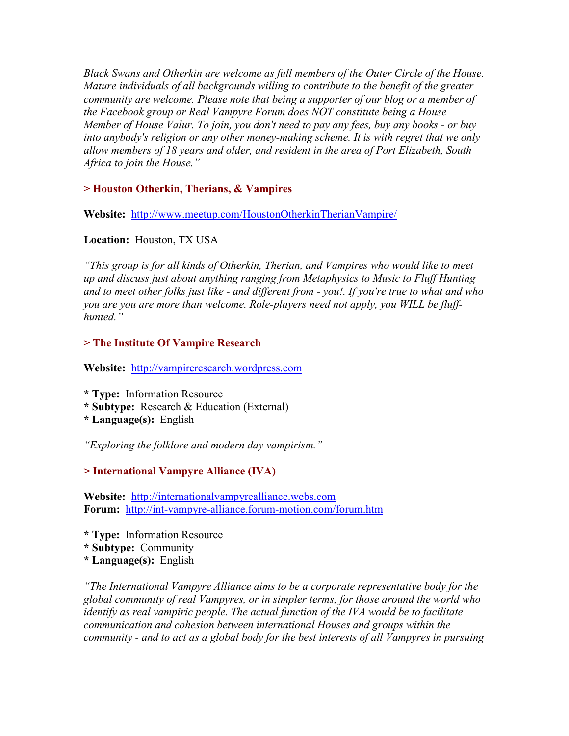*Black Swans and Otherkin are welcome as full members of the Outer Circle of the House. Mature individuals of all backgrounds willing to contribute to the benefit of the greater community are welcome. Please note that being a supporter of our blog or a member of the Facebook group or Real Vampyre Forum does NOT constitute being a House Member of House Valur. To join, you don't need to pay any fees, buy any books - or buy into anybody's religion or any other money-making scheme. It is with regret that we only allow members of 18 years and older, and resident in the area of Port Elizabeth, South Africa to join the House."* 

### **> Houston Otherkin, Therians, & Vampires**

**Website:** <http://www.meetup.com/HoustonOtherkinTherianVampire/>

### **Location:** Houston, TX USA

*"This group is for all kinds of Otherkin, Therian, and Vampires who would like to meet up and discuss just about anything ranging from Metaphysics to Music to Fluff Hunting and to meet other folks just like - and different from - you!. If you're true to what and who you are you are more than welcome. Role-players need not apply, you WILL be fluffhunted."* 

### **> The Institute Of Vampire Research**

**Website:** [http://vampireresearch.wordpress.com](http://vampireresearch.wordpress.com/)

**\* Type:** Information Resource

- **\* Subtype:** Research & Education (External)
- **\* Language(s):** English

*"Exploring the folklore and modern day vampirism."* 

# **> International Vampyre Alliance (IVA)**

**Website:** [http://internationalvampyrealliance.webs.com](http://internationalvampyrealliance.webs.com/) **Forum:** <http://int-vampyre-alliance.forum-motion.com/forum.htm>

- **\* Type:** Information Resource
- **\* Subtype:** Community
- **\* Language(s):** English

*"The International Vampyre Alliance aims to be a corporate representative body for the global community of real Vampyres, or in simpler terms, for those around the world who identify as real vampiric people. The actual function of the IVA would be to facilitate communication and cohesion between international Houses and groups within the community - and to act as a global body for the best interests of all Vampyres in pursuing*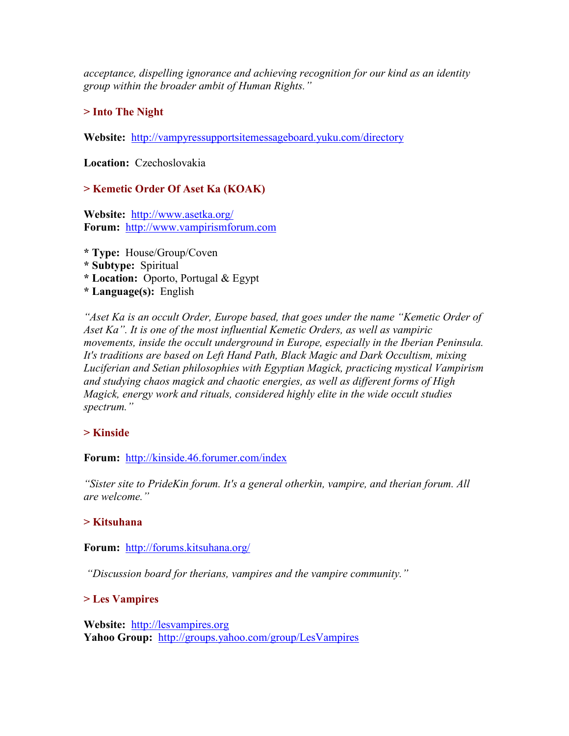*acceptance, dispelling ignorance and achieving recognition for our kind as an identity group within the broader ambit of Human Rights."* 

# **> Into The Night**

**Website:** <http://vampyressupportsitemessageboard.yuku.com/directory>

**Location:** Czechoslovakia

# **> Kemetic Order Of Aset Ka (KOAK)**

**Website:** <http://www.asetka.org/> **Forum:** [http://www.vampirismforum.com](http://www.vampirismforum.com/)

- **\* Type:** House/Group/Coven **\* Subtype:** Spiritual **\* Location:** Oporto, Portugal & Egypt
- **\* Language(s):** English

*"Aset Ka is an occult Order, Europe based, that goes under the name "Kemetic Order of Aset Ka". It is one of the most influential Kemetic Orders, as well as vampiric movements, inside the occult underground in Europe, especially in the Iberian Peninsula. It's traditions are based on Left Hand Path, Black Magic and Dark Occultism, mixing Luciferian and Setian philosophies with Egyptian Magick, practicing mystical Vampirism and studying chaos magick and chaotic energies, as well as different forms of High Magick, energy work and rituals, considered highly elite in the wide occult studies spectrum."* 

### **> Kinside**

**Forum:** <http://kinside.46.forumer.com/index>

*"Sister site to PrideKin forum. It's a general otherkin, vampire, and therian forum. All are welcome."* 

### **> Kitsuhana**

### **Forum:** <http://forums.kitsuhana.org/>

 *"Discussion board for therians, vampires and the vampire community."* 

# **> Les Vampires**

**Website:** [http://lesvampires.org](http://lesvampires.org/) Yahoo Group: <http://groups.yahoo.com/group/LesVampires>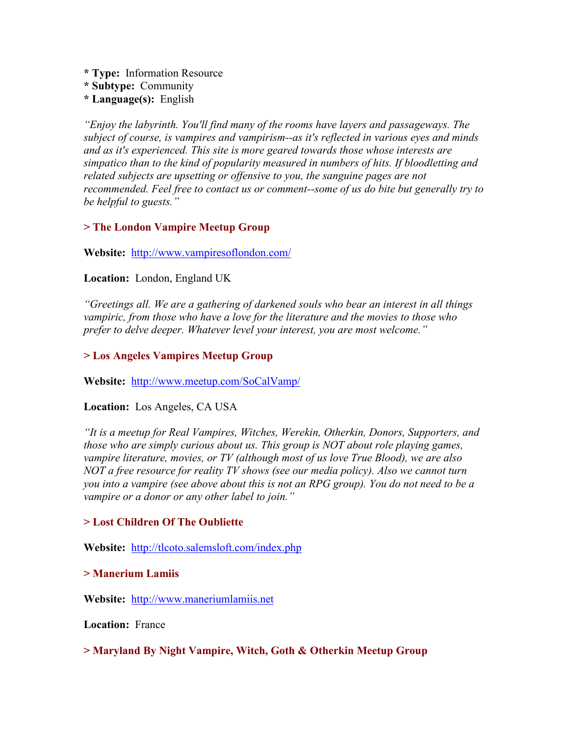- **\* Type:** Information Resource
- **\* Subtype:** Community
- **\* Language(s):** English

*"Enjoy the labyrinth. You'll find many of the rooms have layers and passageways. The subject of course, is vampires and vampirism--as it's reflected in various eyes and minds and as it's experienced. This site is more geared towards those whose interests are simpatico than to the kind of popularity measured in numbers of hits. If bloodletting and related subjects are upsetting or offensive to you, the sanguine pages are not recommended. Feel free to contact us or comment--some of us do bite but generally try to be helpful to guests."* 

### **> The London Vampire Meetup Group**

### **Website:** <http://www.vampiresoflondon.com/>

### **Location:** London, England UK

*"Greetings all. We are a gathering of darkened souls who bear an interest in all things vampiric, from those who have a love for the literature and the movies to those who prefer to delve deeper. Whatever level your interest, you are most welcome."* 

### **> Los Angeles Vampires Meetup Group**

**Website:** <http://www.meetup.com/SoCalVamp/>

### **Location:** Los Angeles, CA USA

*"It is a meetup for Real Vampires, Witches, Werekin, Otherkin, Donors, Supporters, and those who are simply curious about us. This group is NOT about role playing games, vampire literature, movies, or TV (although most of us love True Blood), we are also NOT a free resource for reality TV shows (see our media policy). Also we cannot turn you into a vampire (see above about this is not an RPG group). You do not need to be a vampire or a donor or any other label to join."* 

### **> Lost Children Of The Oubliette**

**Website:** <http://tlcoto.salemsloft.com/index.php>

#### **> Manerium Lamiis**

**Website:** [http://www.maneriumlamiis.net](http://www.maneriumlamiis.net/)

**Location:** France

### **> Maryland By Night Vampire, Witch, Goth & Otherkin Meetup Group**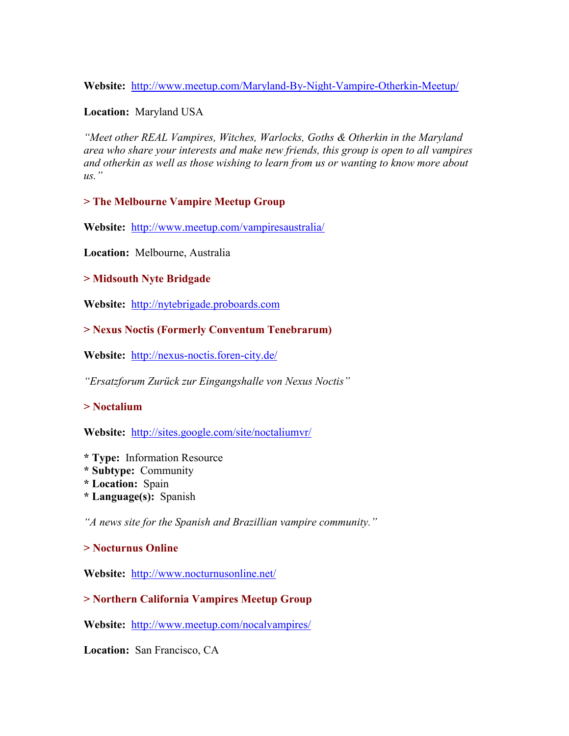**Website:** <http://www.meetup.com/Maryland-By-Night-Vampire-Otherkin-Meetup/>

**Location:** Maryland USA

*"Meet other REAL Vampires, Witches, Warlocks, Goths & Otherkin in the Maryland area who share your interests and make new friends, this group is open to all vampires and otherkin as well as those wishing to learn from us or wanting to know more about us."* 

**> The Melbourne Vampire Meetup Group** 

**Website:** [http://www.meetup.com/vampiresaustralia](http://www.meetup.com/vampiresaustralia/)/

**Location:** Melbourne, Australia

### **> Midsouth Nyte Bridgade**

**Website:** [http://nytebrigade.proboards.com](http://nytebrigade.proboards.com/)

# **> Nexus Noctis (Formerly Conventum Tenebrarum)**

**Website:** <http://nexus-noctis.foren-city.de/>

*"Ersatzforum Zurück zur Eingangshalle von Nexus Noctis"* 

# **> Noctalium**

**Website:** <http://sites.google.com/site/noctaliumvr/>

- **\* Type:** Information Resource
- **\* Subtype:** Community
- **\* Location:** Spain
- **\* Language(s):** Spanish

*"A news site for the Spanish and Brazillian vampire community."* 

# **> Nocturnus Online**

**Website:** <http://www.nocturnusonline.net/>

# **> Northern California Vampires Meetup Group**

**Website:** <http://www.meetup.com/nocalvampires/>

**Location:** San Francisco, CA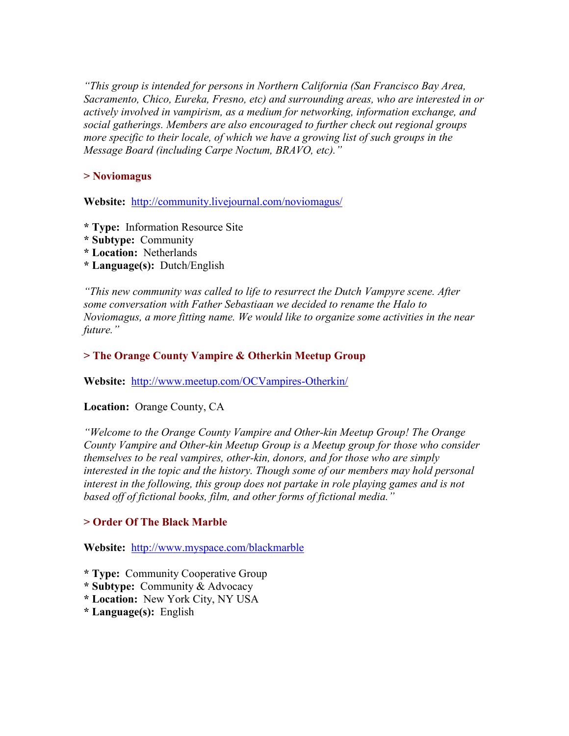*"This group is intended for persons in Northern California (San Francisco Bay Area, Sacramento, Chico, Eureka, Fresno, etc) and surrounding areas, who are interested in or actively involved in vampirism, as a medium for networking, information exchange, and social gatherings. Members are also encouraged to further check out regional groups more specific to their locale, of which we have a growing list of such groups in the Message Board (including Carpe Noctum, BRAVO, etc)."* 

### **> Noviomagus**

**Website:** <http://community.livejournal.com/noviomagus/>

- **\* Type:** Information Resource Site
- **\* Subtype:** Community
- **\* Location:** Netherlands
- **\* Language(s):** Dutch/English

*"This new community was called to life to resurrect the Dutch Vampyre scene. After some conversation with Father Sebastiaan we decided to rename the Halo to Noviomagus, a more fitting name. We would like to organize some activities in the near future."* 

### **> The Orange County Vampire & Otherkin Meetup Group**

**Website:** <http://www.meetup.com/OCVampires-Otherkin/>

### **Location:** Orange County, CA

*"Welcome to the Orange County Vampire and Other-kin Meetup Group! The Orange County Vampire and Other-kin Meetup Group is a Meetup group for those who consider themselves to be real vampires, other-kin, donors, and for those who are simply interested in the topic and the history. Though some of our members may hold personal* interest in the following, this group does not partake in role playing games and is not *based off of fictional books, film, and other forms of fictional media."* 

### **> Order Of The Black Marble**

**Website:** <http://www.myspace.com/blackmarble>

**\* Type:** Community Cooperative Group

- **\* Subtype:** Community & Advocacy
- **\* Location:** New York City, NY USA
- **\* Language(s):** English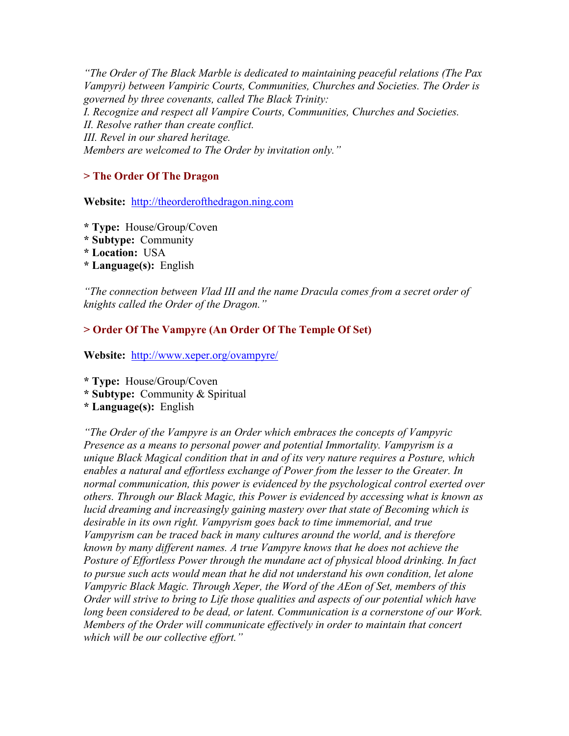*"The Order of The Black Marble is dedicated to maintaining peaceful relations (The Pax Vampyri) between Vampiric Courts, Communities, Churches and Societies. The Order is governed by three covenants, called The Black Trinity: I. Recognize and respect all Vampire Courts, Communities, Churches and Societies. II. Resolve rather than create conflict. III. Revel in our shared heritage. Members are welcomed to The Order by invitation only."* 

# **> The Order Of The Dragon**

**Website:** [http://theorderofthedragon.ning.com](http://theorderofthedragon.ning.com/) 

- **\* Type:** House/Group/Coven
- **\* Subtype:** Community
- **\* Location:** USA
- **\* Language(s):** English

*"The connection between Vlad III and the name Dracula comes from a secret order of knights called the Order of the Dragon."* 

# **> Order Of The Vampyre (An Order Of The Temple Of Set)**

**Website:** <http://www.xeper.org/ovampyre/>

**\* Type:** House/Group/Coven

- **\* Subtype:** Community & Spiritual
- **\* Language(s):** English

*"The Order of the Vampyre is an Order which embraces the concepts of Vampyric Presence as a means to personal power and potential Immortality. Vampyrism is a unique Black Magical condition that in and of its very nature requires a Posture, which enables a natural and effortless exchange of Power from the lesser to the Greater. In normal communication, this power is evidenced by the psychological control exerted over others. Through our Black Magic, this Power is evidenced by accessing what is known as lucid dreaming and increasingly gaining mastery over that state of Becoming which is desirable in its own right. Vampyrism goes back to time immemorial, and true Vampyrism can be traced back in many cultures around the world, and is therefore known by many different names. A true Vampyre knows that he does not achieve the Posture of Effortless Power through the mundane act of physical blood drinking. In fact to pursue such acts would mean that he did not understand his own condition, let alone Vampyric Black Magic. Through Xeper, the Word of the AEon of Set, members of this Order will strive to bring to Life those qualities and aspects of our potential which have long been considered to be dead, or latent. Communication is a cornerstone of our Work. Members of the Order will communicate effectively in order to maintain that concert which will be our collective effort."*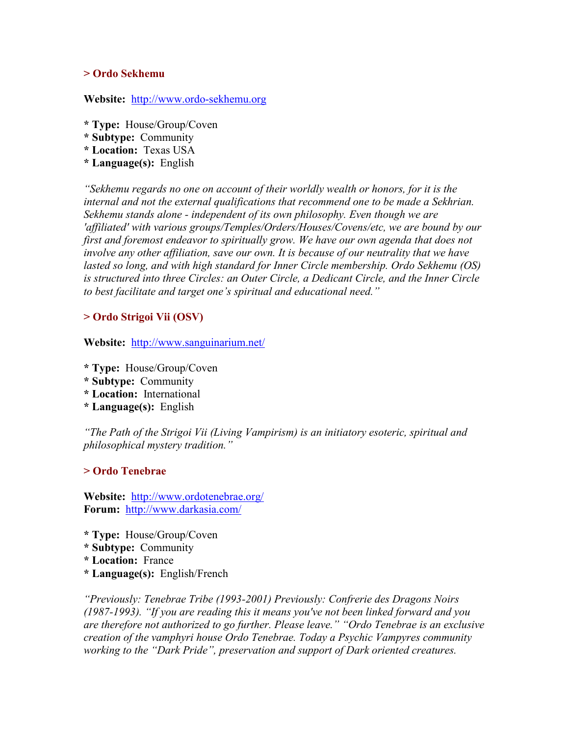#### **> Ordo Sekhemu**

#### **Website:** [http://www.ordo-sekhemu.org](http://www.ordo-sekhemu.org/)

- **\* Type:** House/Group/Coven
- **\* Subtype:** Community
- **\* Location:** Texas USA
- **\* Language(s):** English

*"Sekhemu regards no one on account of their worldly wealth or honors, for it is the internal and not the external qualifications that recommend one to be made a Sekhrian. Sekhemu stands alone - independent of its own philosophy. Even though we are 'affiliated' with various groups/Temples/Orders/Houses/Covens/etc, we are bound by our first and foremost endeavor to spiritually grow. We have our own agenda that does not involve any other affiliation, save our own. It is because of our neutrality that we have lasted so long, and with high standard for Inner Circle membership. Ordo Sekhemu (OS) is structured into three Circles: an Outer Circle, a Dedicant Circle, and the Inner Circle to best facilitate and target one's spiritual and educational need."* 

#### **> Ordo Strigoi Vii (OSV)**

**Website:** <http://www.sanguinarium.net/>

- **\* Type:** House/Group/Coven
- **\* Subtype:** Community
- **\* Location:** International
- **\* Language(s):** English

*"The Path of the Strigoi Vii (Living Vampirism) is an initiatory esoteric, spiritual and philosophical mystery tradition."* 

#### **> Ordo Tenebrae**

**Website:** <http://www.ordotenebrae.org/> **Forum:** <http://www.darkasia.com/>

- **\* Type:** House/Group/Coven
- **\* Subtype:** Community
- **\* Location:** France
- **\* Language(s):** English/French

*"Previously: Tenebrae Tribe (1993-2001) Previously: Confrerie des Dragons Noirs (1987-1993). "If you are reading this it means you've not been linked forward and you are therefore not authorized to go further. Please leave." "Ordo Tenebrae is an exclusive creation of the vamphyri house Ordo Tenebrae. Today a Psychic Vampyres community working to the "Dark Pride", preservation and support of Dark oriented creatures.*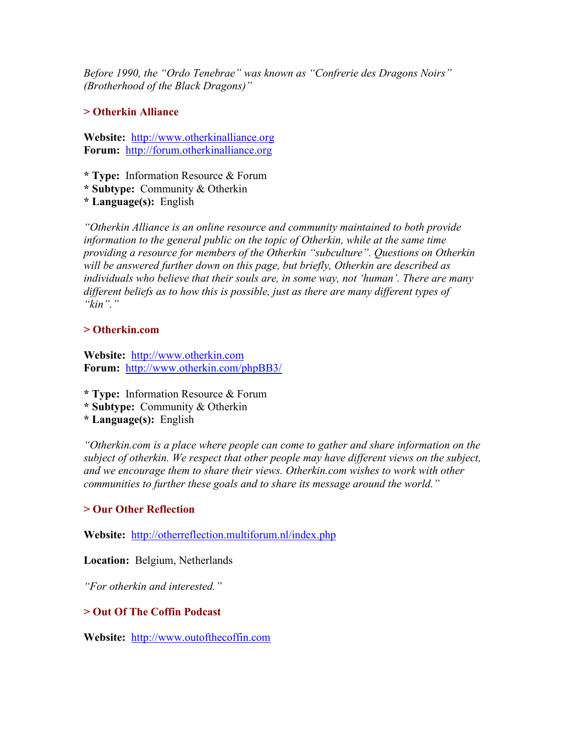*Before 1990, the "Ordo Tenebrae" was known as "Confrerie des Dragons Noirs" (Brotherhood of the Black Dragons)"* 

### **> Otherkin Alliance**

**Website:** [http://www.otherkinalliance.org](http://www.otherkinalliance.org/) **Forum:** [http://forum.otherkinalliance.org](http://forum.otherkinalliance.org/)

**\* Type:** Information Resource & Forum

**\* Subtype:** Community & Otherkin

**\* Language(s):** English

*"Otherkin Alliance is an online resource and community maintained to both provide information to the general public on the topic of Otherkin, while at the same time providing a resource for members of the Otherkin "subculture". Questions on Otherkin will be answered further down on this page, but briefly, Otherkin are described as individuals who believe that their souls are, in some way, not 'human'. There are many different beliefs as to how this is possible, just as there are many different types of "kin"."* 

### **> Otherkin.com**

**Website:** [http://www.otherkin.com](http://www.otherkin.com/) **Forum:** <http://www.otherkin.com/phpBB3/>

- **\* Type:** Information Resource & Forum
- **\* Subtype:** Community & Otherkin
- **\* Language(s):** English

*"Otherkin.com is a place where people can come to gather and share information on the subject of otherkin. We respect that other people may have different views on the subject, and we encourage them to share their views. Otherkin.com wishes to work with other communities to further these goals and to share its message around the world."* 

# **> Our Other Reflection**

**Website:** <http://otherreflection.multiforum.nl/index.php>

# **Location:** Belgium, Netherlands

*"For otherkin and interested."* 

# **> Out Of The Coffin Podcast**

**Website:** [http://www.outofthecoffin.com](http://www.outofthecoffin.com/)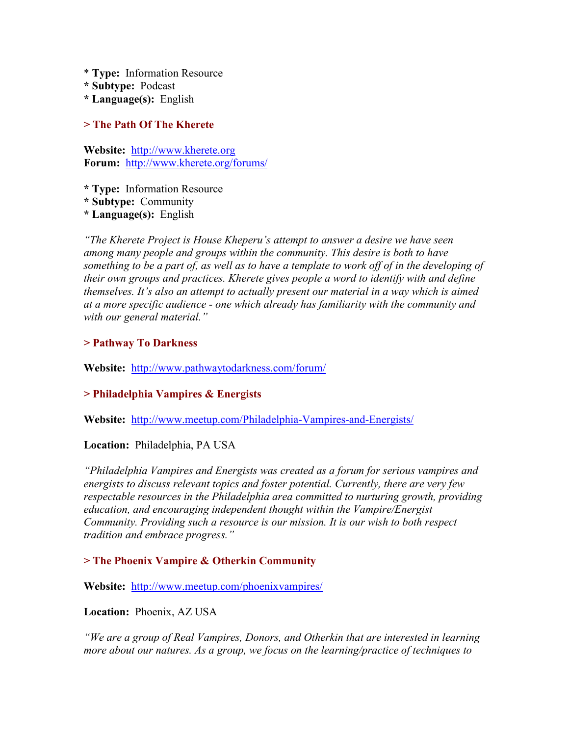- \* **Type:** Information Resource
- **\* Subtype:** Podcast
- **\* Language(s):** English

### **> The Path Of The Kherete**

**Website:** [http://www.kherete.org](http://www.kherete.org/) **Forum:** <http://www.kherete.org/forums/>

**\* Type:** Information Resource

**\* Subtype:** Community

**\* Language(s):** English

*"The Kherete Project is House Kheperu's attempt to answer a desire we have seen among many people and groups within the community. This desire is both to have*  something to be a part of, as well as to have a template to work off of in the developing of *their own groups and practices. Kherete gives people a word to identify with and define themselves. It's also an attempt to actually present our material in a way which is aimed at a more specific audience - one which already has familiarity with the community and with our general material."* 

# **> Pathway To Darkness**

**Website:** <http://www.pathwaytodarkness.com/forum/>

### **> Philadelphia Vampires & Energists**

**Website:** [http://www.meetup.com/Philadelphia-Vampires-and-Energists](http://www.meetup.com/Philadelphia-Vampires-and-Energists/)/

### **Location:** Philadelphia, PA USA

*"Philadelphia Vampires and Energists was created as a forum for serious vampires and energists to discuss relevant topics and foster potential. Currently, there are very few respectable resources in the Philadelphia area committed to nurturing growth, providing education, and encouraging independent thought within the Vampire/Energist Community. Providing such a resource is our mission. It is our wish to both respect tradition and embrace progress."* 

### **> The Phoenix Vampire & Otherkin Community**

**Website:** <http://www.meetup.com/phoenixvampires/>

**Location:** Phoenix, AZ USA

*"We are a group of Real Vampires, Donors, and Otherkin that are interested in learning more about our natures. As a group, we focus on the learning/practice of techniques to*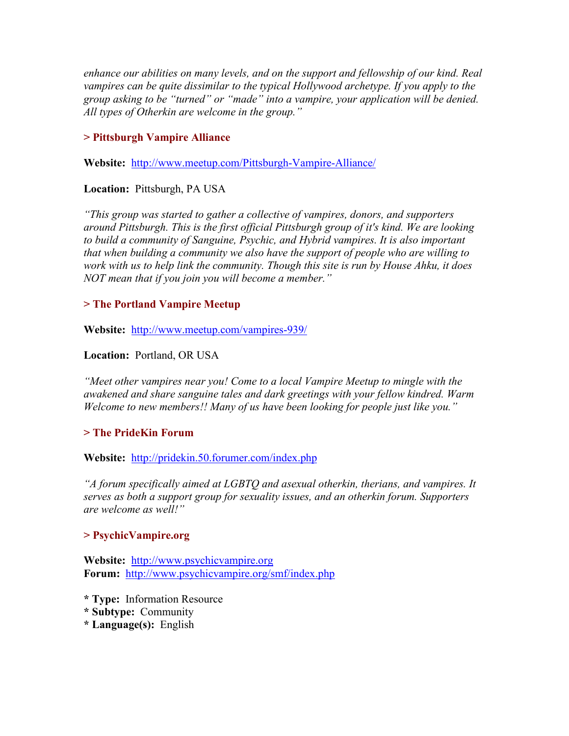*enhance our abilities on many levels, and on the support and fellowship of our kind. Real vampires can be quite dissimilar to the typical Hollywood archetype. If you apply to the group asking to be "turned" or "made" into a vampire, your application will be denied. All types of Otherkin are welcome in the group."* 

# **> Pittsburgh Vampire Alliance**

**Website:** <http://www.meetup.com/Pittsburgh-Vampire-Alliance/>

# **Location:** Pittsburgh, PA USA

*"This group was started to gather a collective of vampires, donors, and supporters around Pittsburgh. This is the first official Pittsburgh group of it's kind. We are looking to build a community of Sanguine, Psychic, and Hybrid vampires. It is also important that when building a community we also have the support of people who are willing to work with us to help link the community. Though this site is run by House Ahku, it does NOT mean that if you join you will become a member."* 

### **> The Portland Vampire Meetup**

**Website:** <http://www.meetup.com/vampires-939/>

### **Location:** Portland, OR USA

*"Meet other vampires near you! Come to a local Vampire Meetup to mingle with the awakened and share sanguine tales and dark greetings with your fellow kindred. Warm Welcome to new members!! Many of us have been looking for people just like you."* 

# **> The PrideKin Forum**

**Website:** <http://pridekin.50.forumer.com/index.php>

*"A forum specifically aimed at LGBTQ and asexual otherkin, therians, and vampires. It serves as both a support group for sexuality issues, and an otherkin forum. Supporters are welcome as well!"* 

### **> PsychicVampire.org**

**Website:** [http://www.psychicvampire.org](http://psychicvampire.org/) **Forum:** <http://www.psychicvampire.org/smf/index.php>

- **\* Type:** Information Resource
- **\* Subtype:** Community
- **\* Language(s):** English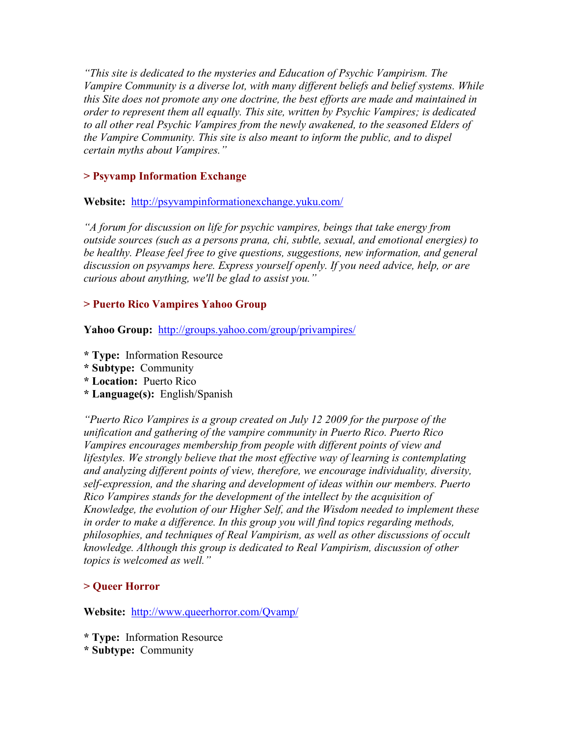*"This site is dedicated to the mysteries and Education of Psychic Vampirism. The Vampire Community is a diverse lot, with many different beliefs and belief systems. While this Site does not promote any one doctrine, the best efforts are made and maintained in order to represent them all equally. This site, written by Psychic Vampires; is dedicated to all other real Psychic Vampires from the newly awakened, to the seasoned Elders of the Vampire Community. This site is also meant to inform the public, and to dispel certain myths about Vampires."* 

### **> Psyvamp Information Exchange**

**Website:** [http://psyvampinformationexchange.yuku.com](http://psyvampinformationexchange.yuku.com/)/

*"A forum for discussion on life for psychic vampires, beings that take energy from outside sources (such as a persons prana, chi, subtle, sexual, and emotional energies) to be healthy. Please feel free to give questions, suggestions, new information, and general discussion on psyvamps here. Express yourself openly. If you need advice, help, or are curious about anything, we'll be glad to assist you."* 

### **> Puerto Rico Vampires Yahoo Group**

**Yahoo Group:** <http://groups.yahoo.com/group/privampires/>

- **\* Type:** Information Resource
- **\* Subtype:** Community
- **\* Location:** Puerto Rico
- **\* Language(s):** English/Spanish

*"Puerto Rico Vampires is a group created on July 12 2009 for the purpose of the unification and gathering of the vampire community in Puerto Rico. Puerto Rico Vampires encourages membership from people with different points of view and lifestyles. We strongly believe that the most effective way of learning is contemplating and analyzing different points of view, therefore, we encourage individuality, diversity, self-expression, and the sharing and development of ideas within our members. Puerto Rico Vampires stands for the development of the intellect by the acquisition of Knowledge, the evolution of our Higher Self, and the Wisdom needed to implement these in order to make a difference. In this group you will find topics regarding methods, philosophies, and techniques of Real Vampirism, as well as other discussions of occult knowledge. Although this group is dedicated to Real Vampirism, discussion of other topics is welcomed as well."* 

# **> Queer Horror**

**Website:** <http://www.queerhorror.com/Qvamp/>

**\* Type:** Information Resource

**\* Subtype:** Community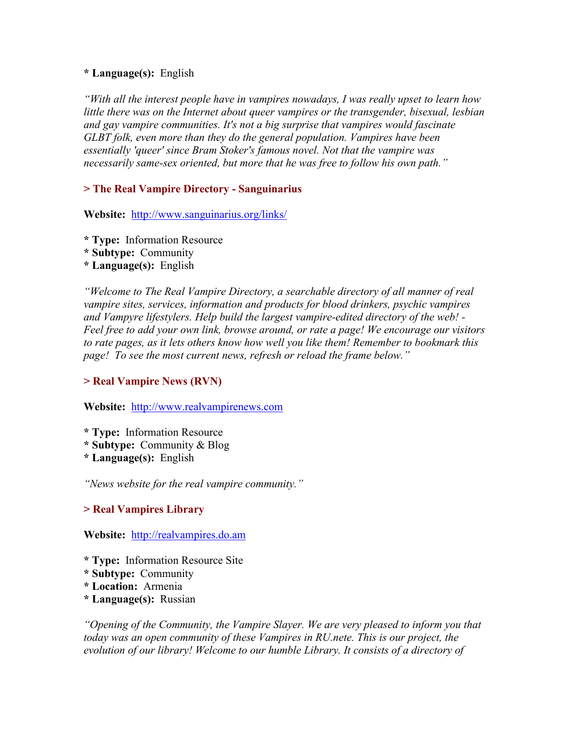### **\* Language(s):** English

*"With all the interest people have in vampires nowadays, I was really upset to learn how little there was on the Internet about queer vampires or the transgender, bisexual, lesbian and gay vampire communities. It's not a big surprise that vampires would fascinate GLBT folk, even more than they do the general population. Vampires have been essentially 'queer' since Bram Stoker's famous novel. Not that the vampire was necessarily same-sex oriented, but more that he was free to follow his own path."* 

# **> The Real Vampire Directory - Sanguinarius**

**Website:** <http://www.sanguinarius.org/links/>

- **\* Type:** Information Resource
- **\* Subtype:** Community
- **\* Language(s):** English

*"Welcome to The Real Vampire Directory, a searchable directory of all manner of real vampire sites, services, information and products for blood drinkers, psychic vampires and Vampyre lifestylers. Help build the largest vampire-edited directory of the web! - Feel free to add your own link, browse around, or rate a page! We encourage our visitors to rate pages, as it lets others know how well you like them! Remember to bookmark this page! To see the most current news, refresh or reload the frame below."* 

# **> Real Vampire News (RVN)**

### **Website:** [http://www.realvampirenews.com](http://www.realvampirenews.com/)

- **\* Type:** Information Resource
- **\* Subtype:** Community & Blog
- **\* Language(s):** English

*"News website for the real vampire community."* 

# **> Real Vampires Library**

# **Website:** [http://realvampires.do.am](http://realvampires.do.am/)

- **\* Type:** Information Resource Site
- **\* Subtype:** Community
- **\* Location:** Armenia
- **\* Language(s):** Russian

*"Opening of the Community, the Vampire Slayer. We are very pleased to inform you that today was an open community of these Vampires in RU.nete. This is our project, the evolution of our library! Welcome to our humble Library. It consists of a directory of*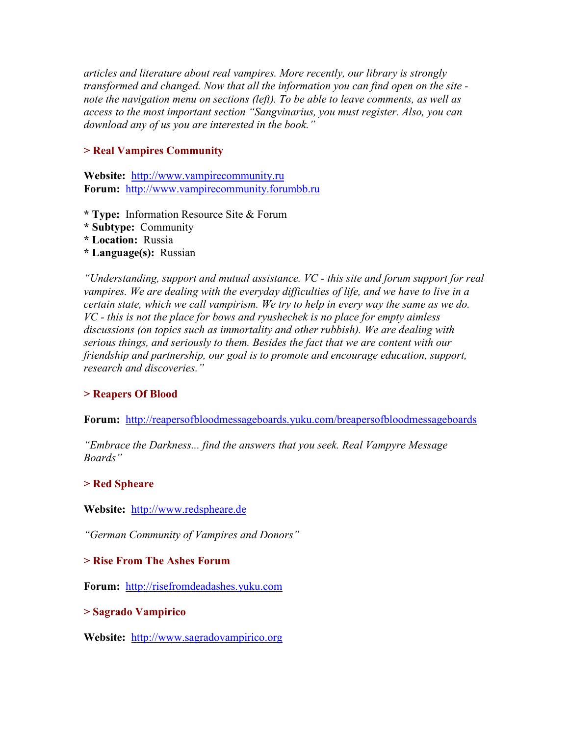*articles and literature about real vampires. More recently, our library is strongly transformed and changed. Now that all the information you can find open on the site note the navigation menu on sections (left). To be able to leave comments, as well as access to the most important section "Sangvinarius, you must register. Also, you can download any of us you are interested in the book."* 

### **> Real Vampires Community**

**Website:** [http://www.vampirecommunity.ru](http://www.vampirecommunity.ru/) **Forum:** [http://www.vampirecommunity.forumbb.ru](http://www.vampirecommunity.forumbb.ru/)

- **\* Type:** Information Resource Site & Forum
- **\* Subtype:** Community
- **\* Location:** Russia
- **\* Language(s):** Russian

*"Understanding, support and mutual assistance. VC - this site and forum support for real*  vampires. We are dealing with the everyday difficulties of life, and we have to live in a *certain state, which we call vampirism. We try to help in every way the same as we do. VC - this is not the place for bows and ryushechek is no place for empty aimless discussions (on topics such as immortality and other rubbish). We are dealing with serious things, and seriously to them. Besides the fact that we are content with our friendship and partnership, our goal is to promote and encourage education, support, research and discoveries."* 

# **> Reapers Of Blood**

**Forum:** <http://reapersofbloodmessageboards.yuku.com/breapersofbloodmessageboards>

*"Embrace the Darkness... find the answers that you seek. Real Vampyre Message Boards"* 

### **> Red Spheare**

**Website:** [http://www.redspheare.de](http://www.redspheare.de/) 

*"German Community of Vampires and Donors"* 

### **> Rise From The Ashes Forum**

**Forum:** [http://risefromdeadashes.yuku.com](http://risefromdeadashes.yuku.com/)

### **> Sagrado Vampirico**

**Website:** [http://www.sagradovampirico.org](http://www.sagradovampirico.org/)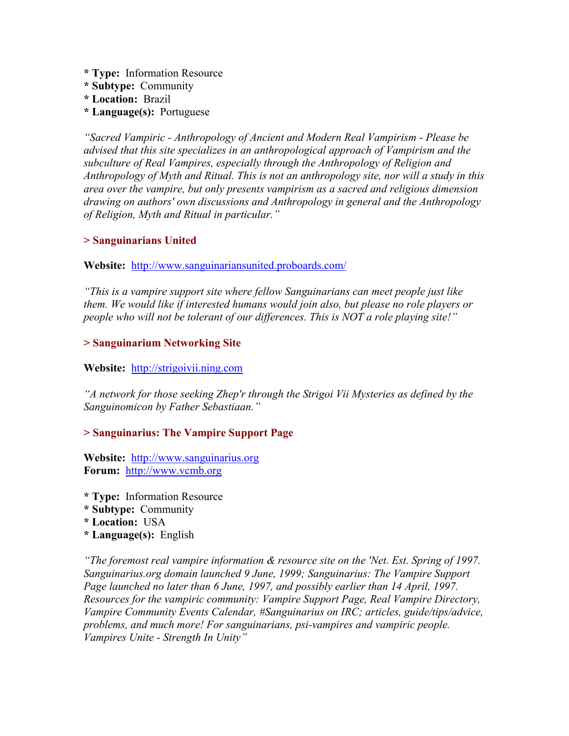- **\* Type:** Information Resource
- **\* Subtype:** Community
- **\* Location:** Brazil
- **\* Language(s):** Portuguese

*"Sacred Vampiric - Anthropology of Ancient and Modern Real Vampirism - Please be advised that this site specializes in an anthropological approach of Vampirism and the subculture of Real Vampires, especially through the Anthropology of Religion and Anthropology of Myth and Ritual. This is not an anthropology site, nor will a study in this area over the vampire, but only presents vampirism as a sacred and religious dimension drawing on authors' own discussions and Anthropology in general and the Anthropology of Religion, Myth and Ritual in particular."* 

### **> Sanguinarians United**

### **Website:**<http://www.sanguinariansunited.proboards.com/>

*"This is a vampire support site where fellow Sanguinarians can meet people just like them. We would like if interested humans would join also, but please no role players or people who will not be tolerant of our differences. This is NOT a role playing site!"* 

### **> Sanguinarium Networking Site**

### Website: [http://strigoivii.ning.com](http://strigoivii.ning.com/)

*"A network for those seeking Zhep'r through the Strigoi Vii Mysteries as defined by the Sanguinomicon by Father Sebastiaan."* 

### **> Sanguinarius: The Vampire Support Page**

**Website:** [http://www.sanguinarius.org](http://www.sanguinarius.org/) **Forum:** [http://www.vcmb.org](http://www.vcmb.org/)

- **\* Type:** Information Resource
- **\* Subtype:** Community
- **\* Location:** USA
- **\* Language(s):** English

*"The foremost real vampire information & resource site on the 'Net. Est. Spring of 1997. Sanguinarius.org domain launched 9 June, 1999; Sanguinarius: The Vampire Support*  Page launched no later than 6 June, 1997, and possibly earlier than 14 April, 1997. *Resources for the vampiric community: Vampire Support Page, Real Vampire Directory, Vampire Community Events Calendar, #Sanguinarius on IRC; articles, guide/tips/advice, problems, and much more! For sanguinarians, psi-vampires and vampiric people. Vampires Unite - Strength In Unity"*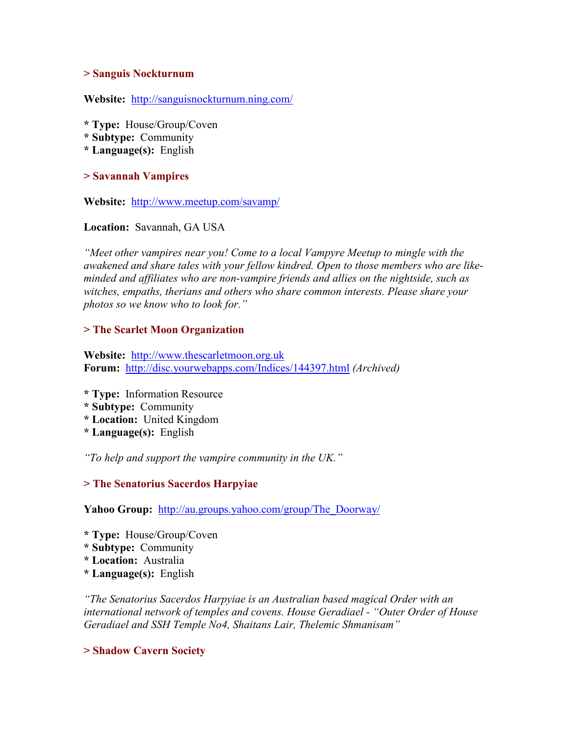#### **> Sanguis Nockturnum**

**Website:** <http://sanguisnockturnum.ning.com/>

- **\* Type:** House/Group/Coven
- **\* Subtype:** Community
- **\* Language(s):** English

### **> Savannah Vampires**

**Website:** <http://www.meetup.com/savamp/>

**Location:** Savannah, GA USA

*"Meet other vampires near you! Come to a local Vampyre Meetup to mingle with the awakened and share tales with your fellow kindred. Open to those members who are likeminded and affiliates who are non-vampire friends and allies on the nightside, such as witches, empaths, therians and others who share common interests. Please share your photos so we know who to look for."* 

### **> The Scarlet Moon Organization**

**Website:** [http://www.thescarletmoon.org.uk](http://www.thescarletmoon.org.uk/) **Forum:** <http://disc.yourwebapps.com/Indices/144397.html> *(Archived)*

- **\* Type:** Information Resource
- **\* Subtype:** Community
- **\* Location:** United Kingdom
- **\* Language(s):** English

*"To help and support the vampire community in the UK."* 

### **> The Senatorius Sacerdos Harpyiae**

**Yahoo Group:** [http://au.groups.yahoo.com/group/The\\_Doorway/](http://au.groups.yahoo.com/group/The_Doorway/)

- **\* Type:** House/Group/Coven
- **\* Subtype:** Community
- **\* Location:** Australia
- **\* Language(s):** English

*"The Senatorius Sacerdos Harpyiae is an Australian based magical Order with an international network of temples and covens. House Geradiael - "Outer Order of House Geradiael and SSH Temple No4, Shaitans Lair, Thelemic Shmanisam"* 

### **> Shadow Cavern Society**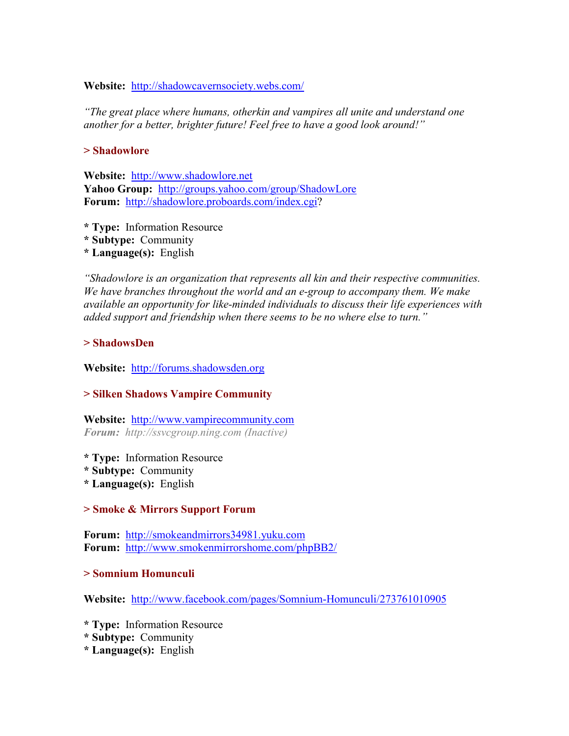#### **Website:** <http://shadowcavernsociety.webs.com/>

*"The great place where humans, otherkin and vampires all unite and understand one another for a better, brighter future! Feel free to have a good look around!"* 

#### **> Shadowlore**

**Website:** [http://www.shadowlore.net](http://www.shadowlore.net/) **Yahoo Group:** <http://groups.yahoo.com/group/ShadowLore> **Forum:** <http://shadowlore.proboards.com/index.cgi>?

- **\* Type:** Information Resource
- **\* Subtype:** Community
- **\* Language(s):** English

*"Shadowlore is an organization that represents all kin and their respective communities. We have branches throughout the world and an e-group to accompany them. We make available an opportunity for like-minded individuals to discuss their life experiences with added support and friendship when there seems to be no where else to turn."* 

#### **> ShadowsDen**

**Website:** [http://forums.shadowsden.org](http://forums.shadowsden.org/)

### **> Silken Shadows Vampire Community**

**Website:** [http://www.vampirecommunity.com](http://www.vampirecommunity.com/) *Forum: http://ssvcgroup.ning.com (Inactive)*

- **\* Type:** Information Resource
- **\* Subtype:** Community
- **\* Language(s):** English

### **> Smoke & Mirrors Support Forum**

**Forum:** [http://smokeandmirrors34981.yuku.com](http://smokeandmirrors34981.yuku.com/) **Forum:** <http://www.smokenmirrorshome.com/phpBB2/>

#### **> Somnium Homunculi**

**Website:** <http://www.facebook.com/pages/Somnium-Homunculi/273761010905>

- **\* Type:** Information Resource
- **\* Subtype:** Community
- **\* Language(s):** English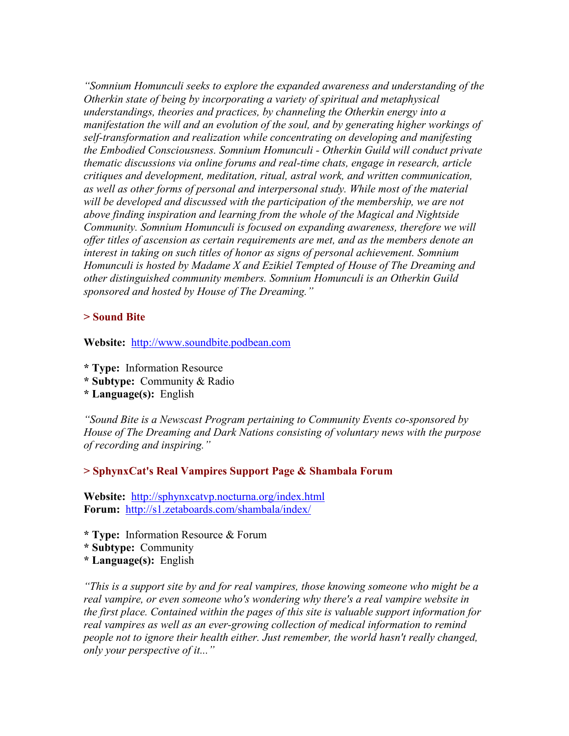*"Somnium Homunculi seeks to explore the expanded awareness and understanding of the Otherkin state of being by incorporating a variety of spiritual and metaphysical understandings, theories and practices, by channeling the Otherkin energy into a manifestation the will and an evolution of the soul, and by generating higher workings of self-transformation and realization while concentrating on developing and manifesting the Embodied Consciousness. Somnium Homunculi - Otherkin Guild will conduct private thematic discussions via online forums and real-time chats, engage in research, article critiques and development, meditation, ritual, astral work, and written communication, as well as other forms of personal and interpersonal study. While most of the material will be developed and discussed with the participation of the membership, we are not above finding inspiration and learning from the whole of the Magical and Nightside Community. Somnium Homunculi is focused on expanding awareness, therefore we will offer titles of ascension as certain requirements are met, and as the members denote an interest in taking on such titles of honor as signs of personal achievement. Somnium Homunculi is hosted by Madame X and Ezikiel Tempted of House of The Dreaming and other distinguished community members. Somnium Homunculi is an Otherkin Guild sponsored and hosted by House of The Dreaming."* 

#### **> Sound Bite**

**Website:** [http://www.soundbite.podbean.com](http://www.soundbite.podbean.com/)

- **\* Type:** Information Resource
- **\* Subtype:** Community & Radio
- **\* Language(s):** English

*"Sound Bite is a Newscast Program pertaining to Community Events co-sponsored by House of The Dreaming and Dark Nations consisting of voluntary news with the purpose of recording and inspiring."* 

#### **> SphynxCat's Real Vampires Support Page & Shambala Forum**

**Website:** <http://sphynxcatvp.nocturna.org/index.html> **Forum:** <http://s1.zetaboards.com/shambala/index/>

- **\* Type:** Information Resource & Forum
- **\* Subtype:** Community
- **\* Language(s):** English

*"This is a support site by and for real vampires, those knowing someone who might be a real vampire, or even someone who's wondering why there's a real vampire website in the first place. Contained within the pages of this site is valuable support information for*  real vampires as well as an ever-growing collection of medical information to remind *people not to ignore their health either. Just remember, the world hasn't really changed, only your perspective of it..."*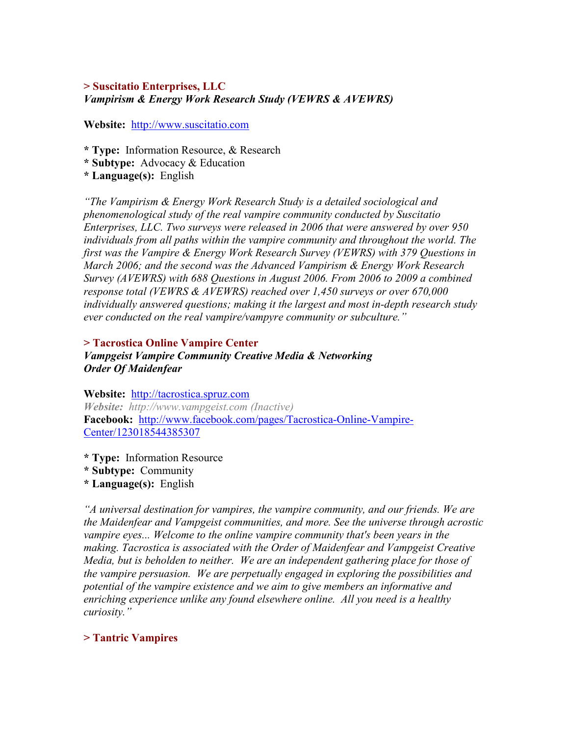### **> Suscitatio Enterprises, LLC**  *Vampirism & Energy Work Research Study (VEWRS & AVEWRS)*

**Website:** [http://www.suscitatio.com](http://www.suscitatio.com/) 

**\* Type:** Information Resource, & Research

- **\* Subtype:** Advocacy & Education
- **\* Language(s):** English

*"The Vampirism & Energy Work Research Study is a detailed sociological and phenomenological study of the real vampire community conducted by Suscitatio Enterprises, LLC. Two surveys were released in 2006 that were answered by over 950 individuals from all paths within the vampire community and throughout the world. The first was the Vampire & Energy Work Research Survey (VEWRS) with 379 Questions in March 2006; and the second was the Advanced Vampirism & Energy Work Research Survey (AVEWRS) with 688 Questions in August 2006. From 2006 to 2009 a combined response total (VEWRS & AVEWRS) reached over 1,450 surveys or over 670,000 individually answered questions; making it the largest and most in-depth research study ever conducted on the real vampire/vampyre community or subculture."* 

# **> Tacrostica Online Vampire Center**  *Vampgeist Vampire Community Creative Media & Networking Order Of Maidenfear*

**Website:** [http://tacrostica.spruz.com](http://tacrostica.spruz.com/) *Website: http://www.vampgeist.com (Inactive)*  **Facebook:** [http://www.facebook.com/pages/Tacrostica-Online-Vampire](http://www.facebook.com/pages/Tacrostica-Online-Vampire-Center/123018544385307)-[Center/123018544385307](http://www.facebook.com/pages/Tacrostica-Online-Vampire-Center/123018544385307) 

**\* Type:** Information Resource

**\* Subtype:** Community

**\* Language(s):** English

*"A universal destination for vampires, the vampire community, and our friends. We are the Maidenfear and Vampgeist communities, and more. See the universe through acrostic vampire eyes... Welcome to the online vampire community that's been years in the making. Tacrostica is associated with the Order of Maidenfear and Vampgeist Creative Media, but is beholden to neither. We are an independent gathering place for those of the vampire persuasion. We are perpetually engaged in exploring the possibilities and potential of the vampire existence and we aim to give members an informative and enriching experience unlike any found elsewhere online. All you need is a healthy curiosity."* 

# **> Tantric Vampires**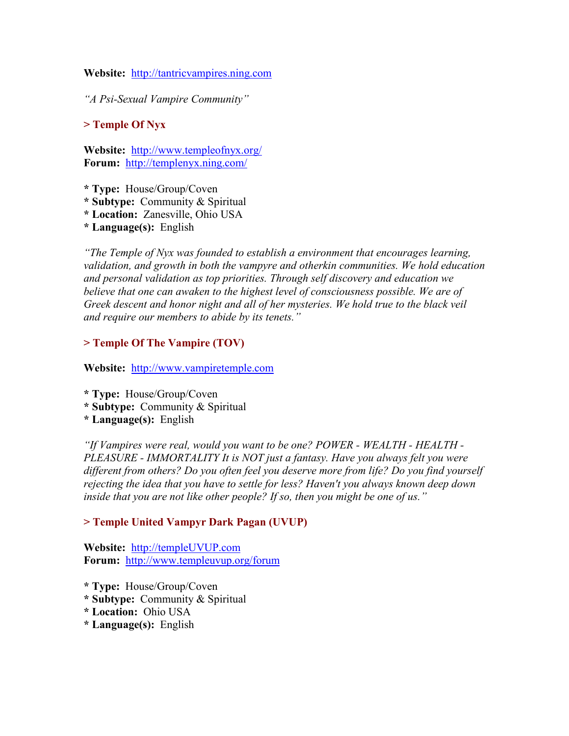**Website:** [http://tantricvampires.ning.com](http://tantricvampires.ning.com/)

*"A Psi-Sexual Vampire Community"*

### **> Temple Of Nyx**

**Website:** <http://www.templeofnyx.org/> **Forum:** <http://templenyx.ning.com/>

- **\* Type:** House/Group/Coven
- **\* Subtype:** Community & Spiritual
- **\* Location:** Zanesville, Ohio USA
- **\* Language(s):** English

*"The Temple of Nyx was founded to establish a environment that encourages learning, validation, and growth in both the vampyre and otherkin communities. We hold education and personal validation as top priorities. Through self discovery and education we believe that one can awaken to the highest level of consciousness possible. We are of Greek descent and honor night and all of her mysteries. We hold true to the black veil and require our members to abide by its tenets."* 

### **> Temple Of The Vampire (TOV)**

**Website:** [http://www.vampiretemple.com](http://www.vampiretemple.com/)

**\* Type:** House/Group/Coven

- **\* Subtype:** Community & Spiritual
- **\* Language(s):** English

*"If Vampires were real, would you want to be one? POWER - WEALTH - HEALTH - PLEASURE - IMMORTALITY It is NOT just a fantasy. Have you always felt you were different from others? Do you often feel you deserve more from life? Do you find yourself rejecting the idea that you have to settle for less? Haven't you always known deep down inside that you are not like other people? If so, then you might be one of us."* 

### **> Temple United Vampyr Dark Pagan (UVUP)**

**Website:** [http://templeUVUP.com](http://templeuvup.com/) **Forum:** <http://www.templeuvup.org/forum>

- **\* Type:** House/Group/Coven
- **\* Subtype:** Community & Spiritual
- **\* Location:** Ohio USA
- **\* Language(s):** English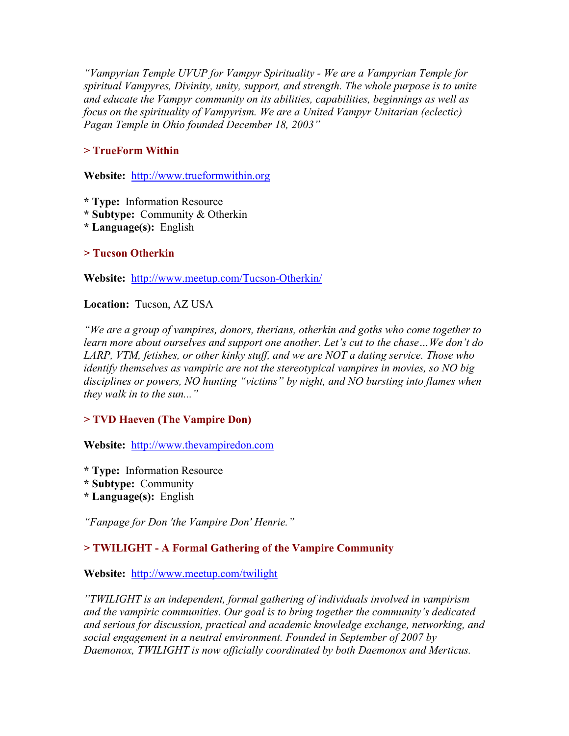*"Vampyrian Temple UVUP for Vampyr Spirituality - We are a Vampyrian Temple for spiritual Vampyres, Divinity, unity, support, and strength. The whole purpose is to unite and educate the Vampyr community on its abilities, capabilities, beginnings as well as focus on the spirituality of Vampyrism. We are a United Vampyr Unitarian (eclectic) Pagan Temple in Ohio founded December 18, 2003"* 

# **> TrueForm Within**

**Website:** [http://www.trueformwithin.org](http://www.trueformwithin.org/) 

- **\* Type:** Information Resource
- **\* Subtype:** Community & Otherkin
- **\* Language(s):** English

# **> Tucson Otherkin**

**Website:** <http://www.meetup.com/Tucson-Otherkin/>

**Location:** Tucson, AZ USA

*"We are a group of vampires, donors, therians, otherkin and goths who come together to learn more about ourselves and support one another. Let's cut to the chase…We don't do LARP, VTM, fetishes, or other kinky stuff, and we are NOT a dating service. Those who identify themselves as vampiric are not the stereotypical vampires in movies, so NO big disciplines or powers, NO hunting "victims" by night, and NO bursting into flames when they walk in to the sun..."* 

# **> TVD Haeven (The Vampire Don)**

**Website:** [http://www.thevampiredon.com](http://www.thevampiredon.com/)

- **\* Type:** Information Resource
- **\* Subtype:** Community
- **\* Language(s):** English

*"Fanpage for Don 'the Vampire Don' Henrie."* 

# **> TWILIGHT - A Formal Gathering of the Vampire Community**

# **Website:** <http://www.meetup.com/twilight>

*"TWILIGHT is an independent, formal gathering of individuals involved in vampirism and the vampiric communities. Our goal is to bring together the community's dedicated and serious for discussion, practical and academic knowledge exchange, networking, and social engagement in a neutral environment. Founded in September of 2007 by Daemonox, TWILIGHT is now officially coordinated by both Daemonox and Merticus.*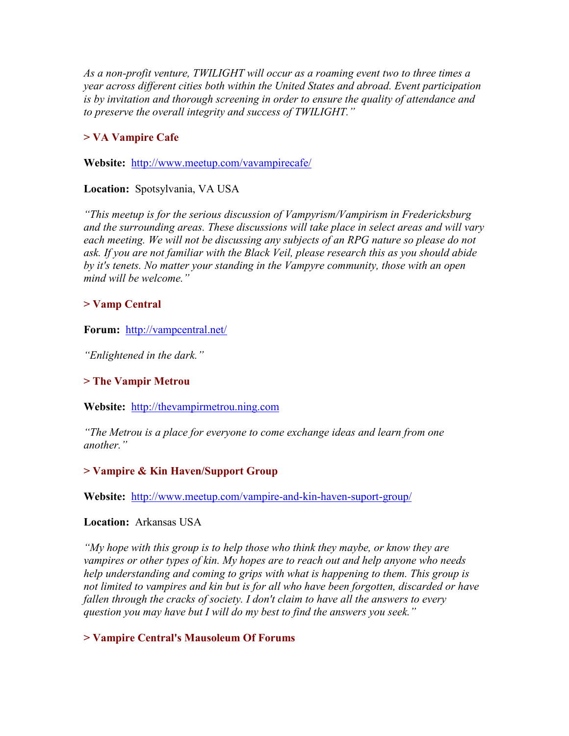*As a non-profit venture, TWILIGHT will occur as a roaming event two to three times a year across different cities both within the United States and abroad. Event participation is by invitation and thorough screening in order to ensure the quality of attendance and to preserve the overall integrity and success of TWILIGHT."*

# **> VA Vampire Cafe**

**Website:** <http://www.meetup.com/vavampirecafe/>

**Location:** Spotsylvania, VA USA

*"This meetup is for the serious discussion of Vampyrism/Vampirism in Fredericksburg and the surrounding areas. These discussions will take place in select areas and will vary each meeting. We will not be discussing any subjects of an RPG nature so please do not ask. If you are not familiar with the Black Veil, please research this as you should abide by it's tenets. No matter your standing in the Vampyre community, those with an open mind will be welcome."* 

### **> Vamp Central**

**Forum:** <http://vampcentral.net/>

*"Enlightened in the dark."* 

# **> The Vampir Metrou**

**Website:** [http://thevampirmetrou.ning.com](http://thevampirmetrou.ning.com/)

*"The Metrou is a place for everyone to come exchange ideas and learn from one another."* 

# **> Vampire & Kin Haven/Support Group**

**Website:** <http://www.meetup.com/vampire-and-kin-haven-suport-group/>

### **Location:** Arkansas USA

*"My hope with this group is to help those who think they maybe, or know they are vampires or other types of kin. My hopes are to reach out and help anyone who needs help understanding and coming to grips with what is happening to them. This group is not limited to vampires and kin but is for all who have been forgotten, discarded or have fallen through the cracks of society. I don't claim to have all the answers to every question you may have but I will do my best to find the answers you seek."* 

# **> Vampire Central's Mausoleum Of Forums**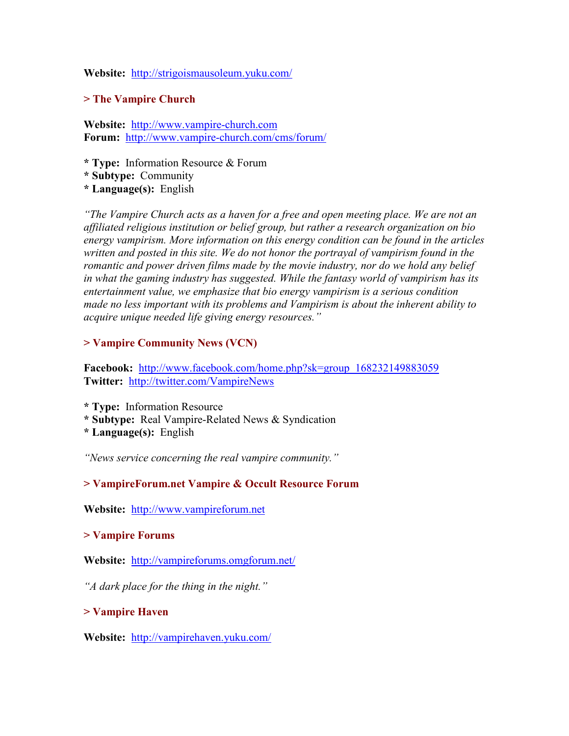#### **Website:** <http://strigoismausoleum.yuku.com/>

#### **> The Vampire Church**

**Website:** [http://www.vampire-church.com](http://www.vampire-church.com/) **Forum:** [http://www.vampire-church.com/cms/forum](http://www.vampire-church.com/cms/forum/)/

- **\* Type:** Information Resource & Forum
- **\* Subtype:** Community
- **\* Language(s):** English

*"The Vampire Church acts as a haven for a free and open meeting place. We are not an affiliated religious institution or belief group, but rather a research organization on bio energy vampirism. More information on this energy condition can be found in the articles written and posted in this site. We do not honor the portrayal of vampirism found in the romantic and power driven films made by the movie industry, nor do we hold any belief in what the gaming industry has suggested. While the fantasy world of vampirism has its entertainment value, we emphasize that bio energy vampirism is a serious condition made no less important with its problems and Vampirism is about the inherent ability to acquire unique needed life giving energy resources."* 

#### **> Vampire Community News (VCN)**

**Facebook:** [http://www.facebook.com/home.php?sk=group\\_168232149883059](http://www.facebook.com/home.php?sk=group_168232149883059) **Twitter:** <http://twitter.com/VampireNews>

**\* Type:** Information Resource

- **\* Subtype:** Real Vampire-Related News & Syndication
- **\* Language(s):** English

*"News service concerning the real vampire community."* 

### **> VampireForum.net Vampire & Occult Resource Forum**

**Website:** [http://www.vampireforum.net](http://www.vampireforum.net/)

### **> Vampire Forums**

**Website:** <http://vampireforums.omgforum.net/>

*"A dark place for the thing in the night."*

**> Vampire Haven** 

**Website:** <http://vampirehaven.yuku.com/>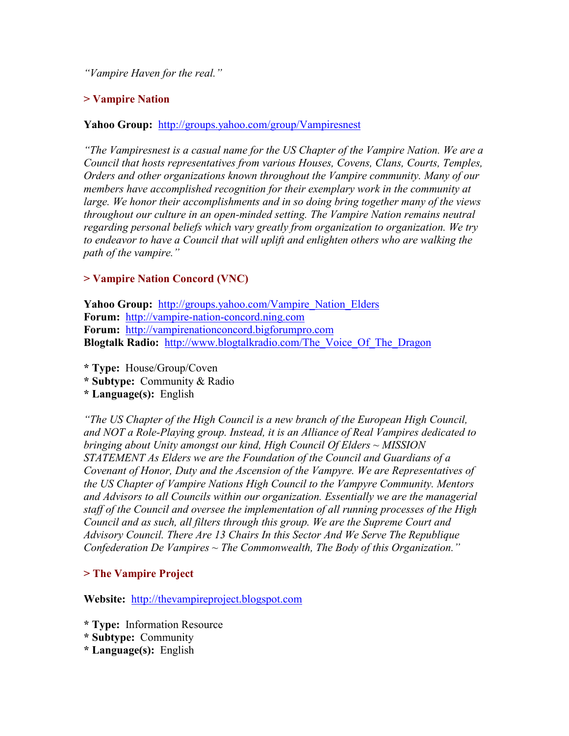*"Vampire Haven for the real."* 

# **> Vampire Nation**

### **Yahoo Group:** <http://groups.yahoo.com/group/Vampiresnest>

*"The Vampiresnest is a casual name for the US Chapter of the Vampire Nation. We are a Council that hosts representatives from various Houses, Covens, Clans, Courts, Temples, Orders and other organizations known throughout the Vampire community. Many of our members have accomplished recognition for their exemplary work in the community at large. We honor their accomplishments and in so doing bring together many of the views throughout our culture in an open-minded setting. The Vampire Nation remains neutral regarding personal beliefs which vary greatly from organization to organization. We try to endeavor to have a Council that will uplift and enlighten others who are walking the path of the vampire."* 

# **> Vampire Nation Concord (VNC)**

Yahoo Group: [http://groups.yahoo.com/Vampire\\_Nation\\_Elders](http://groups.yahoo.com/Vampire_Nation_Elders) **Forum:** [http://vampire-nation-concord.ning.com](http://vampire-nation-concord.ning.com/) **Forum:** [http://vampirenationconcord.bigforumpro.com](http://vampirenationconcord.bigforumpro.com/) **Blogtalk Radio:** [http://www.blogtalkradio.com/The\\_Voice\\_Of\\_The\\_Dragon](http://www.blogtalkradio.com/The_Voice_Of_The_Dragon)

- **\* Type:** House/Group/Coven
- **\* Subtype:** Community & Radio
- **\* Language(s):** English

*"The US Chapter of the High Council is a new branch of the European High Council, and NOT a Role-Playing group. Instead, it is an Alliance of Real Vampires dedicated to bringing about Unity amongst our kind, High Council Of Elders ~ MISSION STATEMENT As Elders we are the Foundation of the Council and Guardians of a Covenant of Honor, Duty and the Ascension of the Vampyre. We are Representatives of the US Chapter of Vampire Nations High Council to the Vampyre Community. Mentors and Advisors to all Councils within our organization. Essentially we are the managerial staff of the Council and oversee the implementation of all running processes of the High Council and as such, all filters through this group. We are the Supreme Court and Advisory Council. There Are 13 Chairs In this Sector And We Serve The Republique Confederation De Vampires ~ The Commonwealth, The Body of this Organization."*

# **> The Vampire Project**

**Website:** [http://thevampireproject.blogspot.com](http://thevampireproject.blogspot.com/)

- **\* Type:** Information Resource
- **\* Subtype:** Community
- **\* Language(s):** English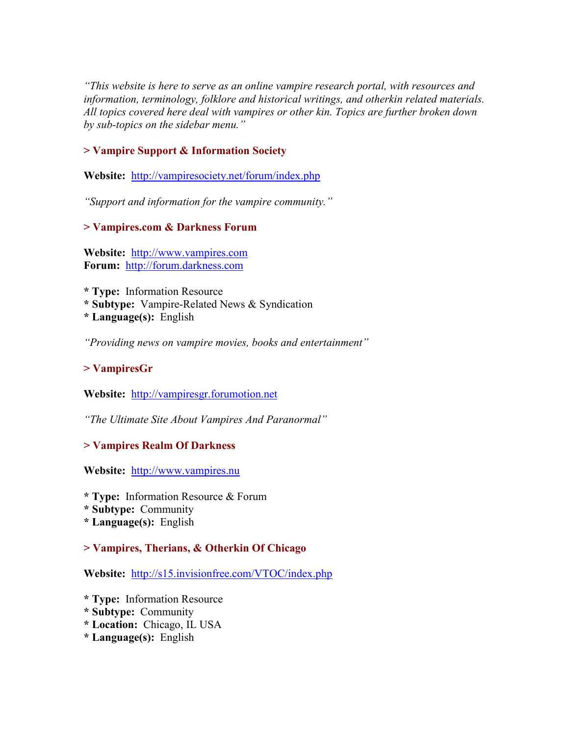*"This website is here to serve as an online vampire research portal, with resources and information, terminology, folklore and historical writings, and otherkin related materials. All topics covered here deal with vampires or other kin. Topics are further broken down by sub-topics on the sidebar menu."* 

# **> Vampire Support & Information Society**

**Website:** <http://vampiresociety.net/forum/index.php>

*"Support and information for the vampire community."* 

**> Vampires.com & Darkness Forum** 

**Website:** [http://www.vampires.com](http://www.vampires.com/) **Forum:** [http://forum.darkness.com](http://forum.darkness.com/)

**\* Type:** Information Resource

**\* Subtype:** Vampire-Related News & Syndication

**\* Language(s):** English

*"Providing news on vampire movies, books and entertainment"* 

# **> VampiresGr**

**Website:** [http://vampiresgr.forumotion.net](http://vampiresgr.forumotion.net/)

*"The Ultimate Site About Vampires And Paranormal"* 

# **> Vampires Realm Of Darkness**

**Website:** [http://www.vampires.nu](http://www.vampires.nu/)

**\* Type:** Information Resource & Forum

**\* Subtype:** Community

**\* Language(s):** English

# **> Vampires, Therians, & Otherkin Of Chicago**

**Website:** <http://s15.invisionfree.com/VTOC/index.php>

- **\* Type:** Information Resource
- **\* Subtype:** Community
- **\* Location:** Chicago, IL USA
- **\* Language(s):** English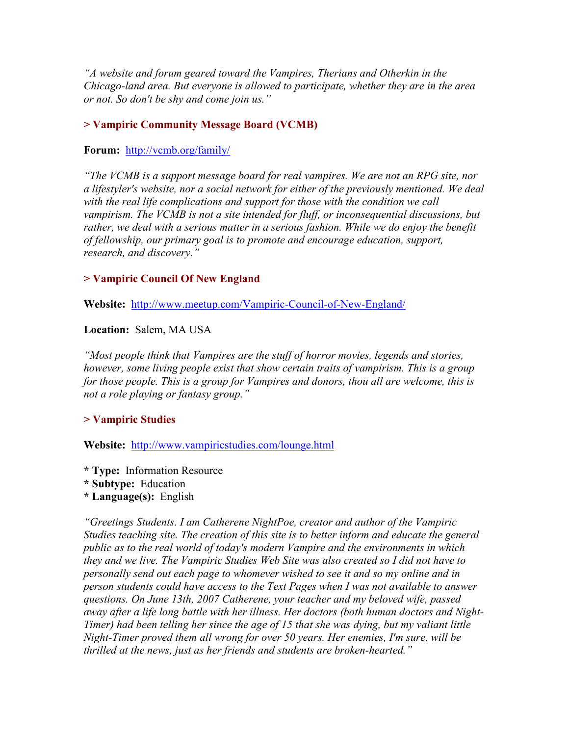*"A website and forum geared toward the Vampires, Therians and Otherkin in the Chicago-land area. But everyone is allowed to participate, whether they are in the area or not. So don't be shy and come join us."* 

### **> Vampiric Community Message Board (VCMB)**

### **Forum:** <http://vcmb.org/family/>

*"The VCMB is a support message board for real vampires. We are not an RPG site, nor a lifestyler's website, nor a social network for either of the previously mentioned. We deal with the real life complications and support for those with the condition we call vampirism. The VCMB is not a site intended for fluff, or inconsequential discussions, but*  rather, we deal with a serious matter in a serious fashion. While we do enjoy the benefit *of fellowship, our primary goal is to promote and encourage education, support, research, and discovery."* 

### **> Vampiric Council Of New England**

**Website:** <http://www.meetup.com/Vampiric-Council-of-New-England/>

### **Location:** Salem, MA USA

*"Most people think that Vampires are the stuff of horror movies, legends and stories, however, some living people exist that show certain traits of vampirism. This is a group for those people. This is a group for Vampires and donors, thou all are welcome, this is not a role playing or fantasy group."* 

### **> Vampiric Studies**

**Website:** <http://www.vampiricstudies.com/lounge.html>

- **\* Type:** Information Resource
- **\* Subtype:** Education
- **\* Language(s):** English

*"Greetings Students. I am Catherene NightPoe, creator and author of the Vampiric Studies teaching site. The creation of this site is to better inform and educate the general public as to the real world of today's modern Vampire and the environments in which they and we live. The Vampiric Studies Web Site was also created so I did not have to personally send out each page to whomever wished to see it and so my online and in person students could have access to the Text Pages when I was not available to answer questions. On June 13th, 2007 Catherene, your teacher and my beloved wife, passed away after a life long battle with her illness. Her doctors (both human doctors and Night-Timer) had been telling her since the age of 15 that she was dying, but my valiant little Night-Timer proved them all wrong for over 50 years. Her enemies, I'm sure, will be thrilled at the news, just as her friends and students are broken-hearted."*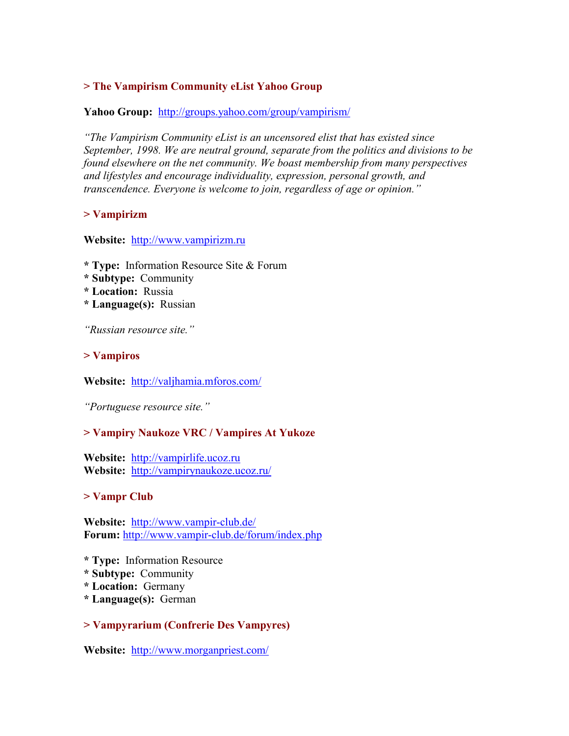# **> The Vampirism Community eList Yahoo Group**

#### Yahoo Group: <http://groups.yahoo.com/group/vampirism/>

*"The Vampirism Community eList is an uncensored elist that has existed since September, 1998. We are neutral ground, separate from the politics and divisions to be found elsewhere on the net community. We boast membership from many perspectives and lifestyles and encourage individuality, expression, personal growth, and transcendence. Everyone is welcome to join, regardless of age or opinion."* 

### **> Vampirizm**

#### **Website:** [http://www.vampirizm.ru](http://www.vampirizm.ru/)

- **\* Type:** Information Resource Site & Forum
- **\* Subtype:** Community
- **\* Location:** Russia
- **\* Language(s):** Russian

*"Russian resource site."* 

#### **> Vampiros**

**Website:** <http://valjhamia.mforos.com/>

*"Portuguese resource site."* 

### **> Vampiry Naukoze VRC / Vampires At Yukoze**

**Website:** [http://vampirlife.ucoz.ru](http://vampirlife.ucoz.ru/) **Website:** <http://vampirynaukoze.ucoz.ru/>

#### **> Vampr Club**

**Website:** <http://www.vampir-club.de/> **Forum:** <http://www.vampir-club.de/forum/index.php>

- **\* Type:** Information Resource
- **\* Subtype:** Community
- **\* Location:** Germany
- **\* Language(s):** German

### **> Vampyrarium (Confrerie Des Vampyres)**

**Website:** <http://www.morganpriest.com/>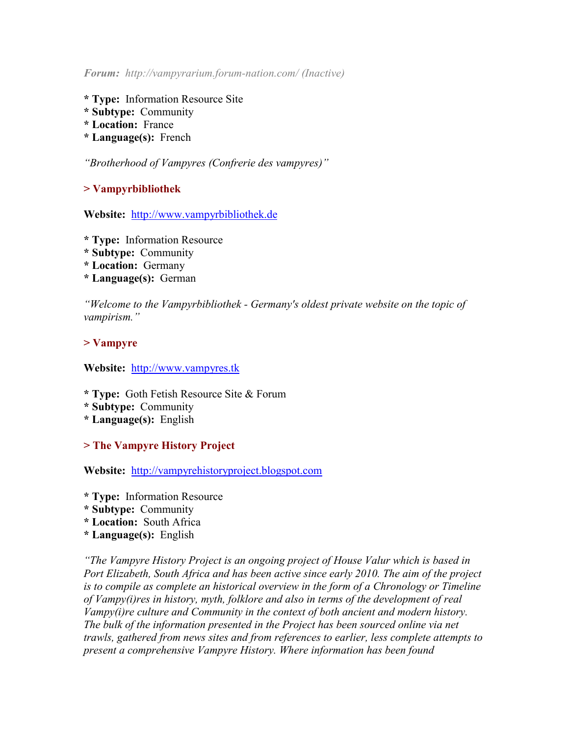*Forum: http://vampyrarium.forum-nation.com/ (Inactive)* 

- **\* Type:** Information Resource Site
- **\* Subtype:** Community
- **\* Location:** France
- **\* Language(s):** French

*"Brotherhood of Vampyres (Confrerie des vampyres)"* 

**> Vampyrbibliothek** 

**Website:** [http://www.vampyrbibliothek.de](http://www.vampyrbibliothek.de/)

- **\* Type:** Information Resource
- **\* Subtype:** Community
- **\* Location:** Germany
- **\* Language(s):** German

*"Welcome to the Vampyrbibliothek - Germany's oldest private website on the topic of vampirism."* 

### **> Vampyre**

**Website:** [http://www.vampyres.tk](http://www.vampyres.tk/) 

- **\* Type:** Goth Fetish Resource Site & Forum
- **\* Subtype:** Community
- **\* Language(s):** English

# **> The Vampyre History Project**

**Website:** [http://vampyrehistoryproject.blogspot.com](http://vampyrehistoryproject.blogspot.com/)

- **\* Type:** Information Resource
- **\* Subtype:** Community
- **\* Location:** South Africa
- **\* Language(s):** English

*"The Vampyre History Project is an ongoing project of House Valur which is based in Port Elizabeth, South Africa and has been active since early 2010. The aim of the project is to compile as complete an historical overview in the form of a Chronology or Timeline of Vampy(i)res in history, myth, folklore and also in terms of the development of real Vampy(i)re culture and Community in the context of both ancient and modern history. The bulk of the information presented in the Project has been sourced online via net trawls, gathered from news sites and from references to earlier, less complete attempts to present a comprehensive Vampyre History. Where information has been found*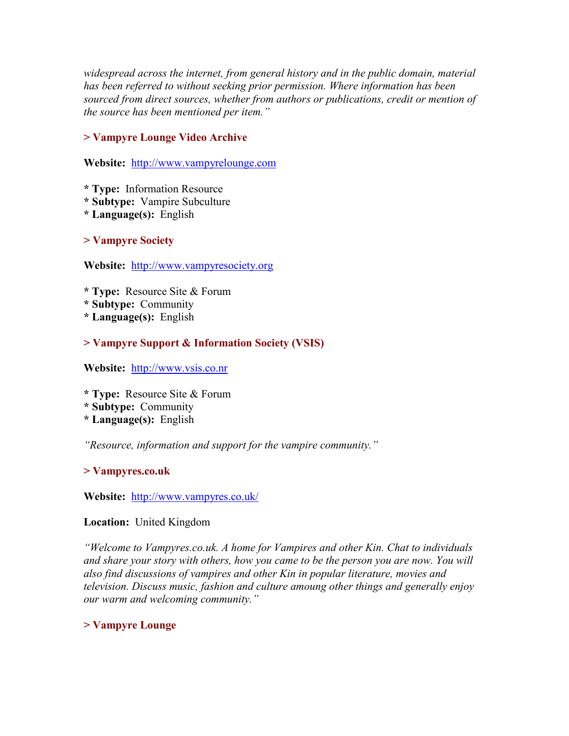*widespread across the internet, from general history and in the public domain, material has been referred to without seeking prior permission. Where information has been sourced from direct sources, whether from authors or publications, credit or mention of the source has been mentioned per item."* 

# **> Vampyre Lounge Video Archive**

**Website:** [http://www.vampyrelounge.com](http://www.vampyrelounge.com/)

**\* Type:** Information Resource

- **\* Subtype:** Vampire Subculture
- **\* Language(s):** English

**> Vampyre Society** 

**Website:** [http://www.vampyresociety.org](http://www.vampyresociety.org/)

- **\* Type:** Resource Site & Forum
- **\* Subtype:** Community
- **\* Language(s):** English

# **> Vampyre Support & Information Society (VSIS)**

**Website:** [http://www.vsis.co.nr](http://www.vsis.co.nr/)

**\* Type:** Resource Site & Forum

- **\* Subtype:** Community
- **\* Language(s):** English

*"Resource, information and support for the vampire community."* 

# **> Vampyres.co.uk**

**Website:** <http://www.vampyres.co.uk/>

# **Location:** United Kingdom

*"Welcome to Vampyres.co.uk. A home for Vampires and other Kin. Chat to individuals and share your story with others, how you came to be the person you are now. You will also find discussions of vampires and other Kin in popular literature, movies and television. Discuss music, fashion and culture amoung other things and generally enjoy our warm and welcoming community."* 

# **> Vampyre Lounge**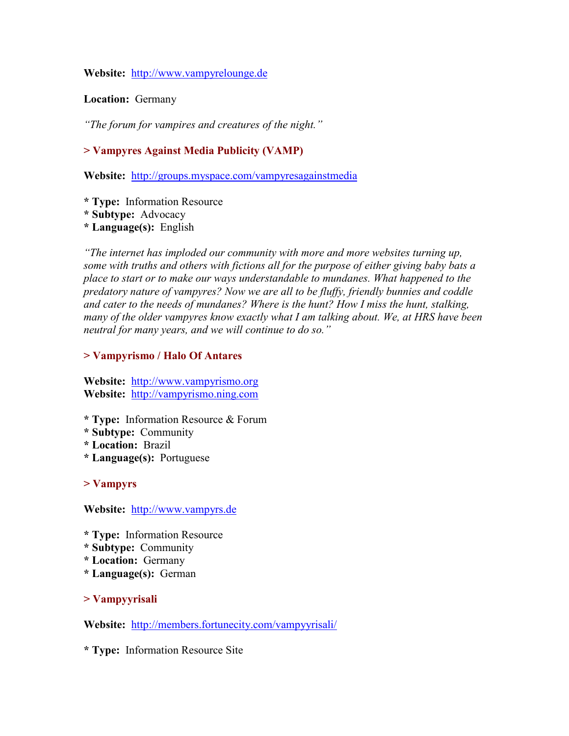### **Website:** [http://www.vampyrelounge.de](http://www.vampyrelounge.de/)

### **Location:** Germany

*"The forum for vampires and creatures of the night."* 

# **> Vampyres Against Media Publicity (VAMP)**

**Website:** <http://groups.myspace.com/vampyresagainstmedia>

**\* Type:** Information Resource

**\* Subtype:** Advocacy

**\* Language(s):** English

*"The internet has imploded our community with more and more websites turning up, some with truths and others with fictions all for the purpose of either giving baby bats a place to start or to make our ways understandable to mundanes. What happened to the predatory nature of vampyres? Now we are all to be fluffy, friendly bunnies and coddle and cater to the needs of mundanes? Where is the hunt? How I miss the hunt, stalking, many of the older vampyres know exactly what I am talking about. We, at HRS have been neutral for many years, and we will continue to do so."* 

# **> Vampyrismo / Halo Of Antares**

**Website:** [http://www.vampyrismo.org](http://www.vampyrismo.org/) **Website:** [http://vampyrismo.ning.com](http://vampyrismo.ning.com/)

- **\* Type:** Information Resource & Forum
- **\* Subtype:** Community
- **\* Location:** Brazil
- **\* Language(s):** Portuguese

# **> Vampyrs**

**Website:** [http://www.vampyrs.de](http://www.vampyrs.de/)

- **\* Type:** Information Resource
- **\* Subtype:** Community
- **\* Location:** Germany
- **\* Language(s):** German

**> Vampyyrisali** 

**Website:** <http://members.fortunecity.com/vampyyrisali/>

**\* Type:** Information Resource Site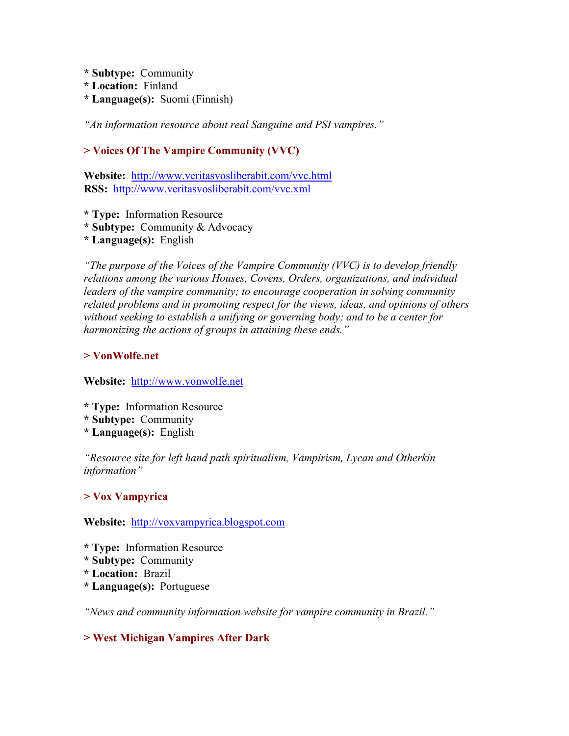- **\* Subtype:** Community
- **\* Location:** Finland
- **\* Language(s):** Suomi (Finnish)

*"An information resource about real Sanguine and PSI vampires."* 

# **> Voices Of The Vampire Community (VVC)**

**Website:** <http://www.veritasvosliberabit.com/vvc.html> RSS: <http://www.veritasvosliberabit.com/vvc.xml>

- **\* Type:** Information Resource
- **\* Subtype:** Community & Advocacy
- **\* Language(s):** English

*"The purpose of the Voices of the Vampire Community (VVC) is to develop friendly relations among the various Houses, Covens, Orders, organizations, and individual leaders of the vampire community; to encourage cooperation in solving community related problems and in promoting respect for the views, ideas, and opinions of others without seeking to establish a unifying or governing body; and to be a center for harmonizing the actions of groups in attaining these ends."* 

# **> VonWolfe.net**

**Website:** [http://www.vonwolfe.net](http://www.vonwolfe.net/) 

- **\* Type:** Information Resource
- **\* Subtype:** Community
- **\* Language(s):** English

*"Resource site for left hand path spiritualism, Vampirism, Lycan and Otherkin information"* 

# **> Vox Vampyrica**

**Website:** [http://voxvampyrica.blogspot.com](http://voxvampyrica.blogspot.com/)

- **\* Type:** Information Resource
- **\* Subtype:** Community
- **\* Location:** Brazil
- **\* Language(s):** Portuguese

*"News and community information website for vampire community in Brazil."* 

# **> West Michigan Vampires After Dark**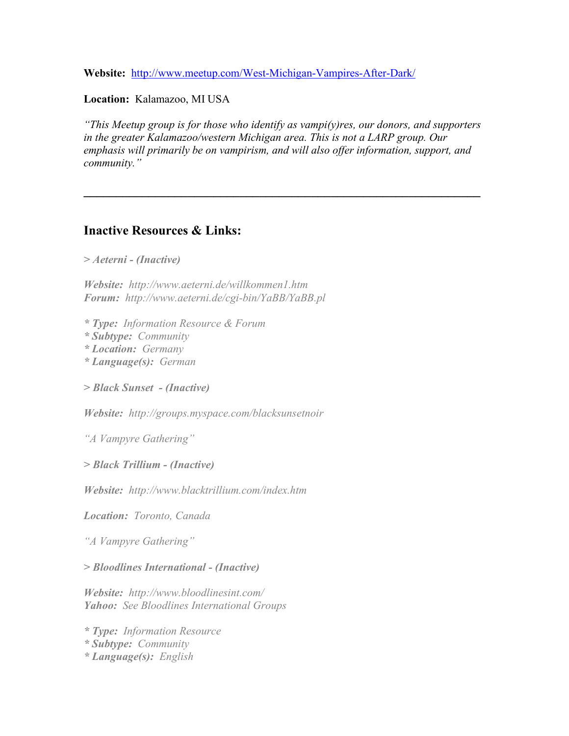**Website:** <http://www.meetup.com/West-Michigan-Vampires-After-Dark/>

**Location:** Kalamazoo, MI USA

*"This Meetup group is for those who identify as vampi(y)res, our donors, and supporters in the greater Kalamazoo/western Michigan area. This is not a LARP group. Our emphasis will primarily be on vampirism, and will also offer information, support, and community."* 

**\_\_\_\_\_\_\_\_\_\_\_\_\_\_\_\_\_\_\_\_\_\_\_\_\_\_\_\_\_\_\_\_\_\_\_\_\_\_\_\_\_\_\_\_\_\_\_\_\_\_\_\_\_\_\_\_\_\_\_\_\_**

# **Inactive Resources & Links:**

*> Aeterni - (Inactive)* 

*Website: http://www.aeterni.de/willkommen1.htm Forum: http://www.aeterni.de/cgi-bin/YaBB/YaBB.pl* 

*\* Type: Information Resource & Forum* 

*\* Subtype: Community* 

*\* Location: Germany* 

*\* Language(s): German* 

*> Black Sunset - (Inactive)*

*Website: http://groups.myspace.com/blacksunsetnoir* 

*"A Vampyre Gathering"* 

*> Black Trillium - (Inactive)* 

*Website: http://www.blacktrillium.com/index.htm* 

*Location: Toronto, Canada*

*"A Vampyre Gathering"* 

*> Bloodlines International - (Inactive)* 

*Website: http://www.bloodlinesint.com/ Yahoo: See Bloodlines International Groups* 

*\* Type: Information Resource \* Subtype: Community \* Language(s): English*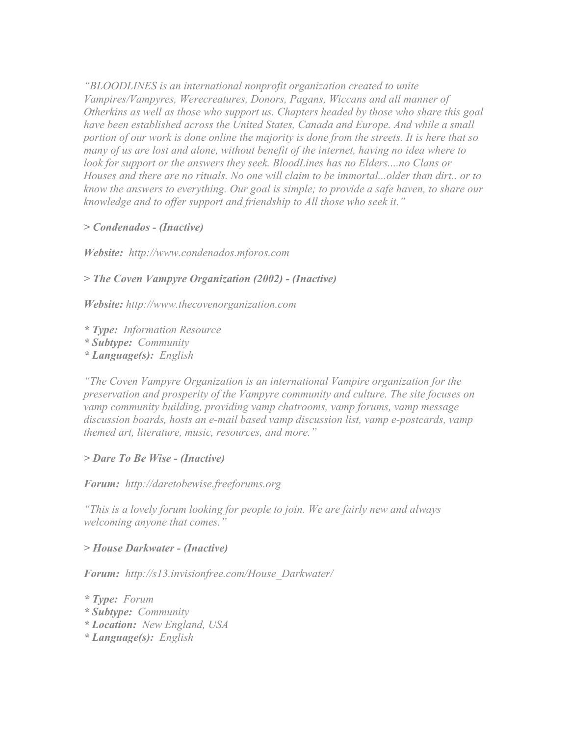*"BLOODLINES is an international nonprofit organization created to unite Vampires/Vampyres, Werecreatures, Donors, Pagans, Wiccans and all manner of Otherkins as well as those who support us. Chapters headed by those who share this goal have been established across the United States, Canada and Europe. And while a small portion of our work is done online the majority is done from the streets. It is here that so many of us are lost and alone, without benefit of the internet, having no idea where to*  look for support or the answers they seek. BloodLines has no Elders....no Clans or *Houses and there are no rituals. No one will claim to be immortal...older than dirt.. or to know the answers to everything. Our goal is simple; to provide a safe haven, to share our knowledge and to offer support and friendship to All those who seek it."* 

### *> Condenados - (Inactive)*

*Website: http://www.condenados.mforos.com*

### *> The Coven Vampyre Organization (2002) - (Inactive)*

*Website: http://www.thecovenorganization.com* 

*\* Type: Information Resource* 

*\* Subtype: Community* 

*\* Language(s): English* 

*"The Coven Vampyre Organization is an international Vampire organization for the preservation and prosperity of the Vampyre community and culture. The site focuses on vamp community building, providing vamp chatrooms, vamp forums, vamp message discussion boards, hosts an e-mail based vamp discussion list, vamp e-postcards, vamp themed art, literature, music, resources, and more."* 

### *> Dare To Be Wise - (Inactive)*

*Forum: http://daretobewise.freeforums.org*

*"This is a lovely forum looking for people to join. We are fairly new and always welcoming anyone that comes."* 

*> House Darkwater - (Inactive)* 

*Forum: http://s13.invisionfree.com/House\_Darkwater/* 

*\* Type: Forum \* Subtype: Community \* Location: New England, USA \* Language(s): English*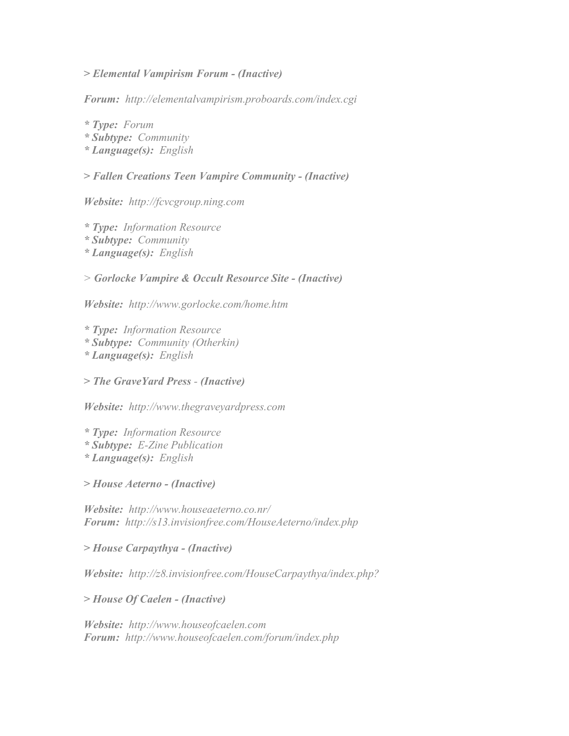#### *> Elemental Vampirism Forum - (Inactive)*

*Forum: http://elementalvampirism.proboards.com/index.cgi* 

*\* Type: Forum \* Subtype: Community \* Language(s): English* 

### *> Fallen Creations Teen Vampire Community - (Inactive)*

*Website: http://fcvcgroup.ning.com* 

*\* Type: Information Resource \* Subtype: Community \* Language(s): English* 

*> Gorlocke Vampire & Occult Resource Site - (Inactive)*

*Website: http://www.gorlocke.com/home.htm* 

*\* Type: Information Resource \* Subtype: Community (Otherkin) \* Language(s): English* 

*> The GraveYard Press - (Inactive)*

*Website: http://www.thegraveyardpress.com* 

*\* Type: Information Resource* 

*\* Subtype: E-Zine Publication* 

*\* Language(s): English* 

*> House Aeterno - (Inactive)* 

*Website: http://www.houseaeterno.co.nr/ Forum: http://s13.invisionfree.com/HouseAeterno/index.php*

*> House Carpaythya - (Inactive)* 

*Website: http://z8.invisionfree.com/HouseCarpaythya/index.php?* 

*> House Of Caelen - (Inactive)* 

*Website: http://www.houseofcaelen.com Forum: http://www.houseofcaelen.com/forum/index.php*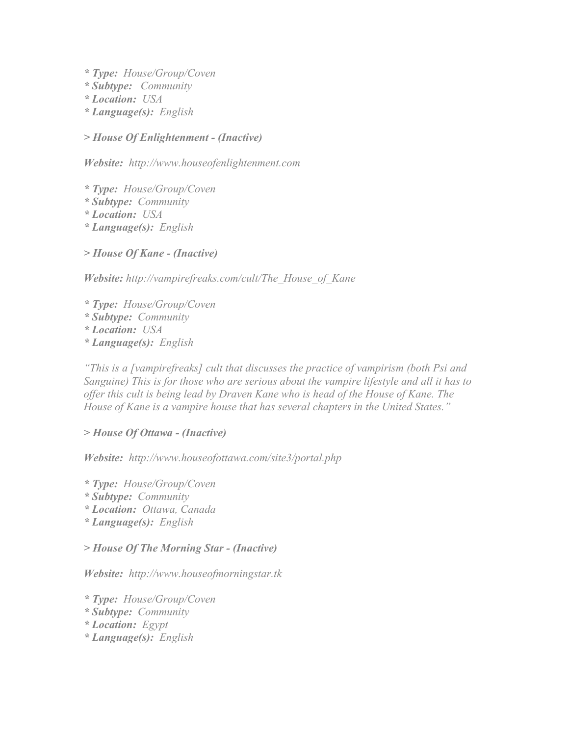- *\* Type: House/Group/Coven*
- *\* Subtype: Community*
- *\* Location: USA*
- *\* Language(s): English*

*> House Of Enlightenment - (Inactive)* 

*Website: http://www.houseofenlightenment.com*

- *\* Type: House/Group/Coven*
- *\* Subtype: Community*
- *\* Location: USA*
- *\* Language(s): English*

*> House Of Kane - (Inactive)* 

*Website: http://vampirefreaks.com/cult/The\_House\_of\_Kane*

*\* Type: House/Group/Coven \* Subtype: Community \* Location: USA \* Language(s): English* 

*"This is a [vampirefreaks] cult that discusses the practice of vampirism (both Psi and Sanguine) This is for those who are serious about the vampire lifestyle and all it has to offer this cult is being lead by Draven Kane who is head of the House of Kane. The House of Kane is a vampire house that has several chapters in the United States."*

# *> House Of Ottawa - (Inactive)*

*Website: http://www.houseofottawa.com/site3/portal.php*

*\* Type: House/Group/Coven \* Subtype: Community \* Location: Ottawa, Canada \* Language(s): English* 

*> House Of The Morning Star - (Inactive)* 

*Website: http://www.houseofmorningstar.tk*

- *\* Type: House/Group/Coven*
- *\* Subtype: Community*
- *\* Location: Egypt*
- *\* Language(s): English*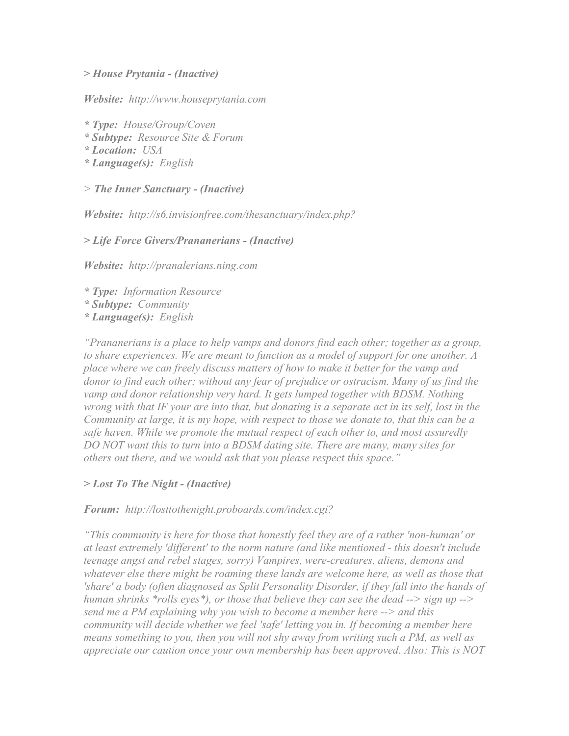*> House Prytania - (Inactive)*

*Website: http://www.houseprytania.com*

*\* Type: House/Group/Coven \* Subtype: Resource Site & Forum* 

*\* Location: USA* 

*\* Language(s): English* 

*> The Inner Sanctuary - (Inactive)*

*Website: http://s6.invisionfree.com/thesanctuary/index.php?*

*> Life Force Givers/Prananerians - (Inactive)* 

*Website: http://pranalerians.ning.com* 

*\* Type: Information Resource \* Subtype: Community \* Language(s): English* 

*"Prananerians is a place to help vamps and donors find each other; together as a group, to share experiences. We are meant to function as a model of support for one another. A place where we can freely discuss matters of how to make it better for the vamp and donor to find each other; without any fear of prejudice or ostracism. Many of us find the vamp and donor relationship very hard. It gets lumped together with BDSM. Nothing wrong with that IF your are into that, but donating is a separate act in its self, lost in the Community at large, it is my hope, with respect to those we donate to, that this can be a safe haven. While we promote the mutual respect of each other to, and most assuredly DO NOT want this to turn into a BDSM dating site. There are many, many sites for others out there, and we would ask that you please respect this space."* 

*> Lost To The Night - (Inactive)* 

*Forum: http://losttothenight.proboards.com/index.cgi?*

*"This community is here for those that honestly feel they are of a rather 'non-human' or at least extremely 'different' to the norm nature (and like mentioned - this doesn't include teenage angst and rebel stages, sorry) Vampires, were-creatures, aliens, demons and whatever else there might be roaming these lands are welcome here, as well as those that 'share' a body (often diagnosed as Split Personality Disorder, if they fall into the hands of human shrinks \*rolls eyes\*), or those that believe they can see the dead --> sign up --> send me a PM explaining why you wish to become a member here --> and this community will decide whether we feel 'safe' letting you in. If becoming a member here means something to you, then you will not shy away from writing such a PM, as well as appreciate our caution once your own membership has been approved. Also: This is NOT*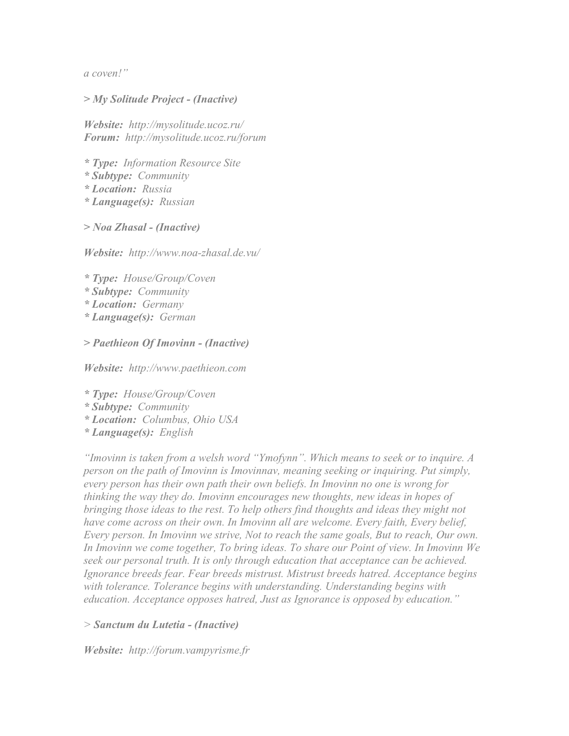*a coven!"* 

### *> My Solitude Project - (Inactive)*

*Website: http://mysolitude.ucoz.ru/ Forum: http://mysolitude.ucoz.ru/forum*

*\* Type: Information Resource Site* 

*\* Subtype: Community* 

*\* Location: Russia* 

*\* Language(s): Russian* 

*> Noa Zhasal - (Inactive)* 

*Website: http://www.noa-zhasal.de.vu/*

- *\* Type: House/Group/Coven*
- *\* Subtype: Community*
- *\* Location: Germany*
- *\* Language(s): German*
- *> Paethieon Of Imovinn (Inactive)*

*Website: http://www.paethieon.com* 

*\* Type: House/Group/Coven* 

- *\* Subtype: Community*
- *\* Location: Columbus, Ohio USA*

*\* Language(s): English* 

*"Imovinn is taken from a welsh word "Ymofynn". Which means to seek or to inquire. A person on the path of Imovinn is Imovinnav, meaning seeking or inquiring. Put simply, every person has their own path their own beliefs. In Imovinn no one is wrong for thinking the way they do. Imovinn encourages new thoughts, new ideas in hopes of bringing those ideas to the rest. To help others find thoughts and ideas they might not have come across on their own. In Imovinn all are welcome. Every faith, Every belief, Every person. In Imovinn we strive, Not to reach the same goals, But to reach, Our own. In Imovinn we come together, To bring ideas. To share our Point of view. In Imovinn We seek our personal truth. It is only through education that acceptance can be achieved. Ignorance breeds fear. Fear breeds mistrust. Mistrust breeds hatred. Acceptance begins with tolerance. Tolerance begins with understanding. Understanding begins with education. Acceptance opposes hatred, Just as Ignorance is opposed by education."* 

*> Sanctum du Lutetia - (Inactive)* 

*Website: http://forum.vampyrisme.fr*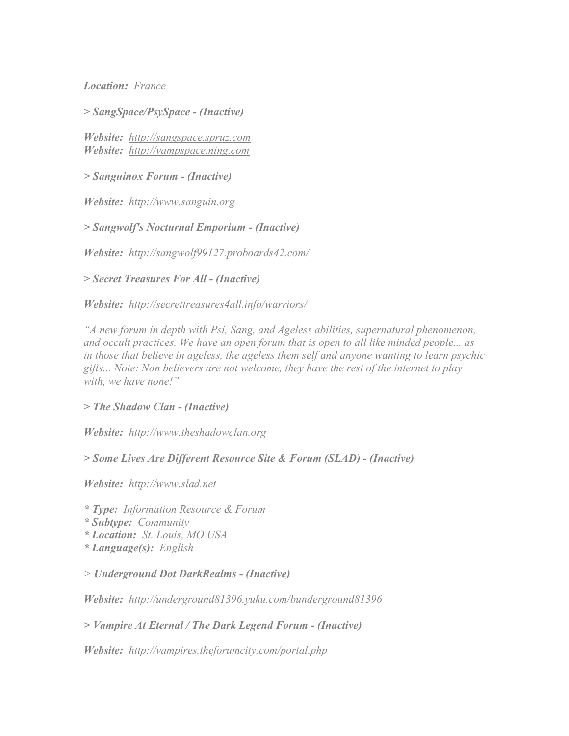*Location: France* 

*> SangSpace/PsySpace - (Inactive)*

*Website: [http://sangspace.spruz.com](http://sangspace.spruz.com/) Website: [http://vampspace.ning.com](http://vampspace.ning.com/)*

*> Sanguinox Forum - (Inactive)* 

*Website: http://www.sanguin.org* 

*> Sangwolf's Nocturnal Emporium - (Inactive)* 

*Website: http://sangwolf99127.proboards42.com/* 

*> Secret Treasures For All - (Inactive)*

*Website: http://secrettreasures4all.info/warriors/* 

*"A new forum in depth with Psi, Sang, and Ageless abilities, supernatural phenomenon, and occult practices. We have an open forum that is open to all like minded people... as in those that believe in ageless, the ageless them self and anyone wanting to learn psychic gifts... Note: Non believers are not welcome, they have the rest of the internet to play with, we have none!"* 

#### *> The Shadow Clan - (Inactive)*

*Website: http://www.theshadowclan.org*

*> Some Lives Are Different Resource Site & Forum (SLAD) - (Inactive)* 

*Website: http://www.slad.net* 

*\* Type: Information Resource & Forum* 

*\* Subtype: Community* 

- *\* Location: St. Louis, MO USA*
- *\* Language(s): English*

*> Underground Dot DarkRealms - (Inactive)*

*Website: http://underground81396.yuku.com/bunderground81396* 

*> Vampire At Eternal / The Dark Legend Forum - (Inactive)*

*Website: http://vampires.theforumcity.com/portal.php*